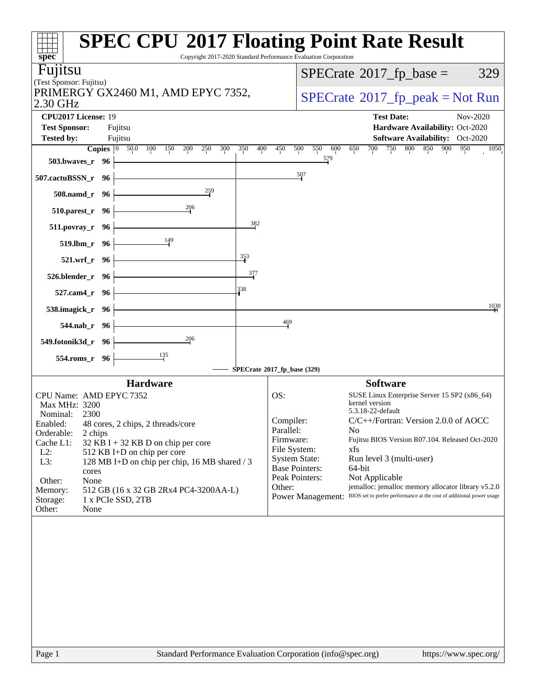| <b>SPEC CPU®2017 Floating Point Rate Result</b><br>spec <sup>®</sup>                          | Copyright 2017-2020 Standard Performance Evaluation Corporation |                                                                      |
|-----------------------------------------------------------------------------------------------|-----------------------------------------------------------------|----------------------------------------------------------------------|
| Fujitsu                                                                                       |                                                                 |                                                                      |
| (Test Sponsor: Fujitsu)                                                                       |                                                                 | $SPECTate$ <sup>®</sup> 2017_fp_base =<br>329                        |
| PRIMERGY GX2460 M1, AMD EPYC 7352,<br>2.30 GHz                                                |                                                                 | $SPECrate^{\circ}2017rfp peak = Not Run$                             |
| CPU2017 License: 19                                                                           |                                                                 | <b>Test Date:</b><br>Nov-2020                                        |
| <b>Test Sponsor:</b><br>Fujitsu                                                               |                                                                 | Hardware Availability: Oct-2020                                      |
| <b>Tested by:</b><br>Fujitsu                                                                  |                                                                 | <b>Software Availability:</b> Oct-2020<br>700<br>800<br>850 900      |
| <b>Copies</b> 0 50.0 100 150<br>200<br>250<br>300<br>503.bwaves_r 96                          | 350<br>400<br>450<br>500                                        | 750<br>550<br>600<br>950<br>1050<br>650<br>579                       |
| 507.cactuBSSN_r 96                                                                            | $\frac{507}{2}$                                                 |                                                                      |
| $\frac{259}{2}$<br>508.namd_r 96                                                              |                                                                 |                                                                      |
| 206<br>510.parest_r 96                                                                        |                                                                 |                                                                      |
| 511.povray_r 96                                                                               | 382                                                             |                                                                      |
| 149<br>519.lbm_r 96                                                                           |                                                                 |                                                                      |
| 521.wrf_r 96                                                                                  | $\frac{353}{3}$                                                 |                                                                      |
| 526.blender_r 96                                                                              | $\frac{377}{2}$                                                 |                                                                      |
| 527.cam4_r 96                                                                                 | 338                                                             |                                                                      |
| 538.imagick_r 96                                                                              |                                                                 | 1030                                                                 |
| 544.nab_r 96                                                                                  | 469                                                             |                                                                      |
| 206<br>549.fotonik3d_r 96                                                                     |                                                                 |                                                                      |
| 135<br>554.roms_r 96                                                                          |                                                                 |                                                                      |
|                                                                                               | SPECrate®2017_fp_base (329)                                     |                                                                      |
| <b>Hardware</b>                                                                               |                                                                 | <b>Software</b>                                                      |
| CPU Name: AMD EPYC 7352                                                                       | OS:                                                             | SUSE Linux Enterprise Server 15 SP2 (x86_64)<br>kernel version       |
| Max MHz: 3200<br>Nominal:<br>2300                                                             |                                                                 | 5.3.18-22-default                                                    |
| Enabled:<br>48 cores, 2 chips, 2 threads/core                                                 | Compiler:                                                       | $C/C++/Fortran$ : Version 2.0.0 of AOCC                              |
| Orderable:<br>2 chips                                                                         | Parallel:<br>Firmware:                                          | No<br>Fujitsu BIOS Version R07.104. Released Oct-2020                |
| Cache L1:<br>$32$ KB I + 32 KB D on chip per core                                             | File System:                                                    | xfs                                                                  |
| $L2$ :<br>512 KB I+D on chip per core<br>L3:<br>128 MB I+D on chip per chip, 16 MB shared / 3 | <b>System State:</b>                                            | Run level 3 (multi-user)                                             |
| cores                                                                                         | <b>Base Pointers:</b>                                           | 64-bit                                                               |
| Other:<br>None                                                                                | Peak Pointers:<br>Other:                                        | Not Applicable<br>jemalloc: jemalloc memory allocator library v5.2.0 |
| Memory:<br>512 GB (16 x 32 GB 2Rx4 PC4-3200AA-L)<br>Storage:<br>1 x PCIe SSD, 2TB             | <b>Power Management:</b>                                        | BIOS set to prefer performance at the cost of additional power usage |
| Other:<br>None                                                                                |                                                                 |                                                                      |
|                                                                                               |                                                                 |                                                                      |
| Standard Performance Evaluation Corporation (info@spec.org)<br>Page 1                         |                                                                 | https://www.spec.org/                                                |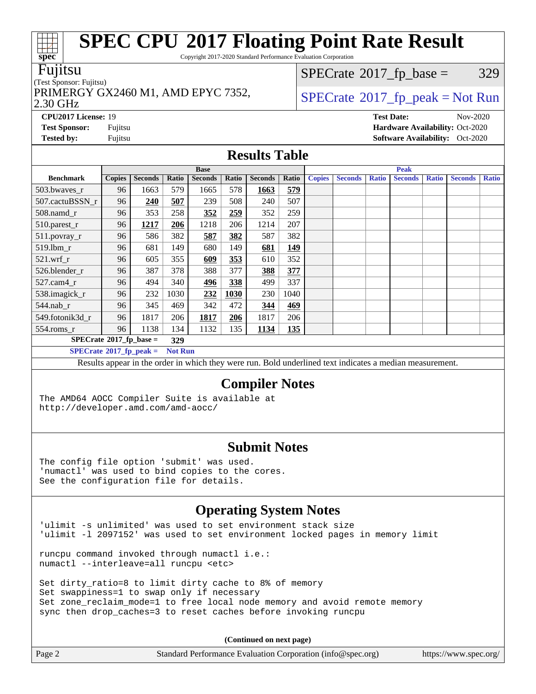Copyright 2017-2020 Standard Performance Evaluation Corporation

#### Fujitsu

### (Test Sponsor: Fujitsu) 2.30 GHz

 $SPECTate@2017_fp\_base = 329$ 

### PRIMERGY GX2460 M1, AMD EPYC 7352,  $\vert$ [SPECrate](http://www.spec.org/auto/cpu2017/Docs/result-fields.html#SPECrate2017fppeak)®[2017\\_fp\\_peak = N](http://www.spec.org/auto/cpu2017/Docs/result-fields.html#SPECrate2017fppeak)ot Run

**[Test Sponsor:](http://www.spec.org/auto/cpu2017/Docs/result-fields.html#TestSponsor)** Fujitsu **[Hardware Availability:](http://www.spec.org/auto/cpu2017/Docs/result-fields.html#HardwareAvailability)** Oct-2020 **[Tested by:](http://www.spec.org/auto/cpu2017/Docs/result-fields.html#Testedby)** Fujitsu **Fugital Exception Contract Contract Contract Contract Contract Contract Contract Contract Contract Contract Contract Contract Contract Contract Contract Contract Contract Contract Contract Contract Co** 

### **[Results Table](http://www.spec.org/auto/cpu2017/Docs/result-fields.html#ResultsTable)**

|                                   |               |                |                | <b>Base</b>    |       |                |            | <b>Peak</b>   |                |              |                |              |                |              |
|-----------------------------------|---------------|----------------|----------------|----------------|-------|----------------|------------|---------------|----------------|--------------|----------------|--------------|----------------|--------------|
| <b>Benchmark</b>                  | <b>Copies</b> | <b>Seconds</b> | Ratio          | <b>Seconds</b> | Ratio | <b>Seconds</b> | Ratio      | <b>Copies</b> | <b>Seconds</b> | <b>Ratio</b> | <b>Seconds</b> | <b>Ratio</b> | <b>Seconds</b> | <b>Ratio</b> |
| 503.bwaves_r                      | 96            | 1663           | 579            | 1665           | 578   | 1663           | 579        |               |                |              |                |              |                |              |
| 507.cactuBSSN r                   | 96            | 240            | 507            | 239            | 508   | 240            | 507        |               |                |              |                |              |                |              |
| $508$ .namd_r                     | 96            | 353            | 258            | 352            | 259   | 352            | 259        |               |                |              |                |              |                |              |
| 510.parest_r                      | 96            | 1217           | 206            | 1218           | 206   | 1214           | 207        |               |                |              |                |              |                |              |
| 511.povray_r                      | 96            | 586            | 382            | 587            | 382   | 587            | 382        |               |                |              |                |              |                |              |
| 519.lbm r                         | 96            | 681            | 149            | 680            | 149   | 681            | <u>149</u> |               |                |              |                |              |                |              |
| $521$ .wrf r                      | 96            | 605            | 355            | 609            | 353   | 610            | 352        |               |                |              |                |              |                |              |
| 526.blender r                     | 96            | 387            | 378            | 388            | 377   | 388            | 377        |               |                |              |                |              |                |              |
| 527.cam4 r                        | 96            | 494            | 340            | 496            | 338   | 499            | 337        |               |                |              |                |              |                |              |
| 538.imagick_r                     | 96            | 232            | 1030           | 232            | 1030  | 230            | 1040       |               |                |              |                |              |                |              |
| 544.nab r                         | 96            | 345            | 469            | 342            | 472   | 344            | 469        |               |                |              |                |              |                |              |
| 549.fotonik3d r                   | 96            | 1817           | 206            | 1817           | 206   | 1817           | 206        |               |                |              |                |              |                |              |
| $554$ .roms $r$                   | 96            | 1138           | 134            | 1132           | 135   | 1134           | <u>135</u> |               |                |              |                |              |                |              |
| $SPECrate^{\circ}2017$ _fp_base = | 329           |                |                |                |       |                |            |               |                |              |                |              |                |              |
| $SPECrate^{\circ}2017$ fp peak =  |               |                | <b>Not Run</b> |                |       |                |            |               |                |              |                |              |                |              |

Results appear in the [order in which they were run](http://www.spec.org/auto/cpu2017/Docs/result-fields.html#RunOrder). Bold underlined text [indicates a median measurement.](http://www.spec.org/auto/cpu2017/Docs/result-fields.html#Median)

#### **[Compiler Notes](http://www.spec.org/auto/cpu2017/Docs/result-fields.html#CompilerNotes)**

The AMD64 AOCC Compiler Suite is available at <http://developer.amd.com/amd-aocc/>

#### **[Submit Notes](http://www.spec.org/auto/cpu2017/Docs/result-fields.html#SubmitNotes)**

The config file option 'submit' was used. 'numactl' was used to bind copies to the cores. See the configuration file for details.

### **[Operating System Notes](http://www.spec.org/auto/cpu2017/Docs/result-fields.html#OperatingSystemNotes)**

'ulimit -s unlimited' was used to set environment stack size 'ulimit -l 2097152' was used to set environment locked pages in memory limit

runcpu command invoked through numactl i.e.: numactl --interleave=all runcpu <etc>

Set dirty\_ratio=8 to limit dirty cache to 8% of memory Set swappiness=1 to swap only if necessary Set zone\_reclaim\_mode=1 to free local node memory and avoid remote memory sync then drop\_caches=3 to reset caches before invoking runcpu

**(Continued on next page)**

| Standard Performance Evaluation Corporation (info@spec.org)<br>Page 2<br>https://www.spec.org/ |  |
|------------------------------------------------------------------------------------------------|--|
|------------------------------------------------------------------------------------------------|--|



### **[CPU2017 License:](http://www.spec.org/auto/cpu2017/Docs/result-fields.html#CPU2017License)** 19 **[Test Date:](http://www.spec.org/auto/cpu2017/Docs/result-fields.html#TestDate)** Nov-2020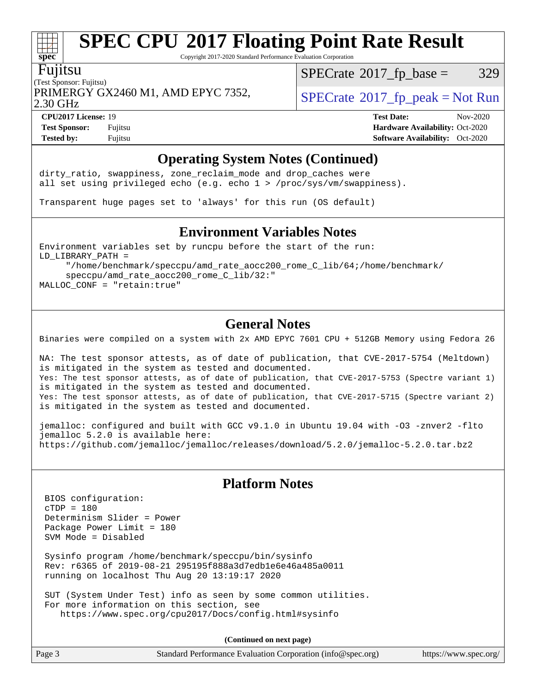Copyright 2017-2020 Standard Performance Evaluation Corporation

#### Fujitsu

**[spec](http://www.spec.org/)**

(Test Sponsor: Fujitsu) PRIMERGY GX2460 M1, AMD EPYC 7352,  $\vert$  [SPECrate](http://www.spec.org/auto/cpu2017/Docs/result-fields.html#SPECrate2017fppeak) 2017 fp\_peak = Not Run

 $SPECTate@2017_fp\_base = 329$ 

2.30 GHz

**[Tested by:](http://www.spec.org/auto/cpu2017/Docs/result-fields.html#Testedby)** Fujitsu **[Software Availability:](http://www.spec.org/auto/cpu2017/Docs/result-fields.html#SoftwareAvailability)** Oct-2020

**[CPU2017 License:](http://www.spec.org/auto/cpu2017/Docs/result-fields.html#CPU2017License)** 19 **[Test Date:](http://www.spec.org/auto/cpu2017/Docs/result-fields.html#TestDate)** Nov-2020 **[Test Sponsor:](http://www.spec.org/auto/cpu2017/Docs/result-fields.html#TestSponsor)** Fujitsu **[Hardware Availability:](http://www.spec.org/auto/cpu2017/Docs/result-fields.html#HardwareAvailability)** Oct-2020

### **[Operating System Notes \(Continued\)](http://www.spec.org/auto/cpu2017/Docs/result-fields.html#OperatingSystemNotes)**

dirty\_ratio, swappiness, zone\_reclaim\_mode and drop caches were all set using privileged echo (e.g. echo 1 > /proc/sys/vm/swappiness).

Transparent huge pages set to 'always' for this run (OS default)

#### **[Environment Variables Notes](http://www.spec.org/auto/cpu2017/Docs/result-fields.html#EnvironmentVariablesNotes)**

Environment variables set by runcpu before the start of the run: LD\_LIBRARY\_PATH = "/home/benchmark/speccpu/amd\_rate\_aocc200\_rome\_C\_lib/64;/home/benchmark/

 speccpu/amd\_rate\_aocc200\_rome\_C\_lib/32:" MALLOC\_CONF = "retain:true"

### **[General Notes](http://www.spec.org/auto/cpu2017/Docs/result-fields.html#GeneralNotes)**

Binaries were compiled on a system with 2x AMD EPYC 7601 CPU + 512GB Memory using Fedora 26

NA: The test sponsor attests, as of date of publication, that CVE-2017-5754 (Meltdown) is mitigated in the system as tested and documented. Yes: The test sponsor attests, as of date of publication, that CVE-2017-5753 (Spectre variant 1) is mitigated in the system as tested and documented. Yes: The test sponsor attests, as of date of publication, that CVE-2017-5715 (Spectre variant 2) is mitigated in the system as tested and documented.

jemalloc: configured and built with GCC v9.1.0 in Ubuntu 19.04 with -O3 -znver2 -flto jemalloc 5.2.0 is available here: <https://github.com/jemalloc/jemalloc/releases/download/5.2.0/jemalloc-5.2.0.tar.bz2>

### **[Platform Notes](http://www.spec.org/auto/cpu2017/Docs/result-fields.html#PlatformNotes)**

 BIOS configuration: cTDP = 180 Determinism Slider = Power Package Power Limit = 180 SVM Mode = Disabled

 Sysinfo program /home/benchmark/speccpu/bin/sysinfo Rev: r6365 of 2019-08-21 295195f888a3d7edb1e6e46a485a0011 running on localhost Thu Aug 20 13:19:17 2020

 SUT (System Under Test) info as seen by some common utilities. For more information on this section, see <https://www.spec.org/cpu2017/Docs/config.html#sysinfo>

**(Continued on next page)**

| Page 3<br>Standard Performance Evaluation Corporation (info@spec.org) | https://www.spec.org/ |
|-----------------------------------------------------------------------|-----------------------|
|-----------------------------------------------------------------------|-----------------------|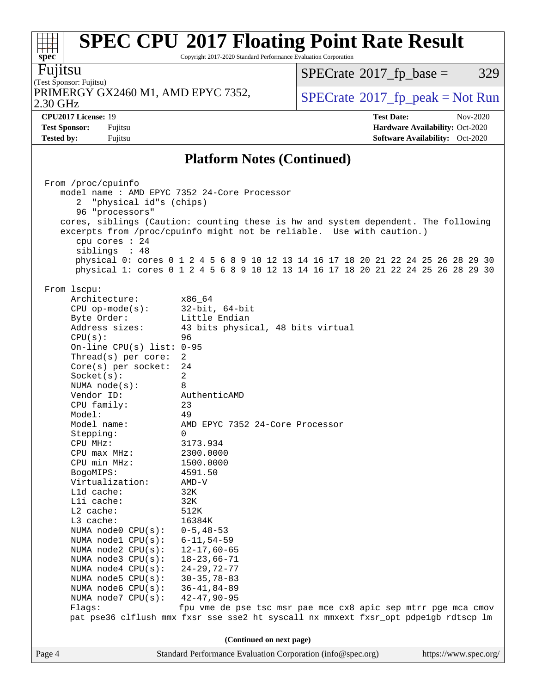Copyright 2017-2020 Standard Performance Evaluation Corporation

Fujitsu

**[spec](http://www.spec.org/)**

(Test Sponsor: Fujitsu) 2.30 GHz PRIMERGY GX2460 M1, AMD EPYC 7352,  $\vert$  [SPECrate](http://www.spec.org/auto/cpu2017/Docs/result-fields.html#SPECrate2017fppeak) [2017\\_fp\\_peak = N](http://www.spec.org/auto/cpu2017/Docs/result-fields.html#SPECrate2017fppeak)ot Run

 $SPECrate@2017_fp\_base = 329$  $SPECrate@2017_fp\_base = 329$ 

**[Test Sponsor:](http://www.spec.org/auto/cpu2017/Docs/result-fields.html#TestSponsor)** Fujitsu **[Hardware Availability:](http://www.spec.org/auto/cpu2017/Docs/result-fields.html#HardwareAvailability)** Oct-2020

**[CPU2017 License:](http://www.spec.org/auto/cpu2017/Docs/result-fields.html#CPU2017License)** 19 **[Test Date:](http://www.spec.org/auto/cpu2017/Docs/result-fields.html#TestDate)** Nov-2020

**[Platform Notes \(Continued\)](http://www.spec.org/auto/cpu2017/Docs/result-fields.html#PlatformNotes)**

**[Tested by:](http://www.spec.org/auto/cpu2017/Docs/result-fields.html#Testedby)** Fujitsu **[Software Availability:](http://www.spec.org/auto/cpu2017/Docs/result-fields.html#SoftwareAvailability)** Oct-2020

| model name : AMD EPYC 7352 24-Core Processor<br>"physical id"s (chips)<br>2<br>96 "processors"<br>cores, siblings (Caution: counting these is hw and system dependent. The following<br>excerpts from /proc/cpuinfo might not be reliable. Use with caution.)<br>cpu cores $: 24$<br>siblings : 48<br>physical 0: cores 0 1 2 4 5 6 8 9 10 12 13 14 16 17 18 20 21 22 24 25 26 28 29 30<br>physical 1: cores 0 1 2 4 5 6 8 9 10 12 13 14 16 17 18 20 21 22 24 25 26 28 29 30<br>From lscpu:<br>Architecture:<br>x86_64<br>32-bit, 64-bit<br>$CPU$ op-mode( $s$ ):<br>Little Endian<br>Byte Order:<br>Address sizes:<br>43 bits physical, 48 bits virtual<br>CPU(s):<br>96<br>On-line CPU(s) list: $0-95$<br>Thread(s) per core:<br>$\overline{2}$<br>$Core(s)$ per socket:<br>24<br>$\overline{2}$<br>Socket(s):<br>8<br>NUMA $node(s):$<br>Vendor ID:<br>AuthenticAMD<br>CPU family:<br>23<br>Model:<br>49<br>Model name:<br>AMD EPYC 7352 24-Core Processor<br>$\Omega$<br>Stepping:<br>CPU MHz:<br>3173.934<br>CPU max MHz:<br>2300.0000<br>CPU min MHz:<br>1500.0000<br>BogoMIPS:<br>4591.50<br>Virtualization:<br>AMD-V<br>L1d cache:<br>32K<br>$L1i$ cache:<br>32K<br>L2 cache:<br>512K<br>$L3$ cache:<br>16384K<br>NUMA node0 $CPU(s): 0-5, 48-53$<br>$6 - 11, 54 - 59$<br>NUMA $node1$ $CPU(s):$<br>NUMA $node2$ $CPU(s):$<br>$12 - 17,60 - 65$<br>NUMA $node3$ $CPU(s)$ :<br>$18 - 23,66 - 71$<br>$24 - 29, 72 - 77$<br>NUMA node4 CPU(s):<br>$30 - 35, 78 - 83$<br>NUMA $node5$ $CPU(s):$<br>$36 - 41, 84 - 89$<br>NUMA $node6$ $CPU(s):$<br>42-47,90-95<br>NUMA $node7$ CPU $(s)$ :<br>fpu vme de pse tsc msr pae mce cx8 apic sep mtrr pge mca cmov<br>Flags:<br>pat pse36 clflush mmx fxsr sse sse2 ht syscall nx mmxext fxsr_opt pdpe1gb rdtscp lm<br>(Continued on next page)<br>Standard Performance Evaluation Corporation (info@spec.org)<br>https://www.spec.org/<br>Page 4 |  | From /proc/cpuinfo |  |  |  |  |  |  |  |  |  |  |
|------------------------------------------------------------------------------------------------------------------------------------------------------------------------------------------------------------------------------------------------------------------------------------------------------------------------------------------------------------------------------------------------------------------------------------------------------------------------------------------------------------------------------------------------------------------------------------------------------------------------------------------------------------------------------------------------------------------------------------------------------------------------------------------------------------------------------------------------------------------------------------------------------------------------------------------------------------------------------------------------------------------------------------------------------------------------------------------------------------------------------------------------------------------------------------------------------------------------------------------------------------------------------------------------------------------------------------------------------------------------------------------------------------------------------------------------------------------------------------------------------------------------------------------------------------------------------------------------------------------------------------------------------------------------------------------------------------------------------------------------------------------------------------------------------------------------------------------------------------------------------------------------|--|--------------------|--|--|--|--|--|--|--|--|--|--|
|                                                                                                                                                                                                                                                                                                                                                                                                                                                                                                                                                                                                                                                                                                                                                                                                                                                                                                                                                                                                                                                                                                                                                                                                                                                                                                                                                                                                                                                                                                                                                                                                                                                                                                                                                                                                                                                                                                |  |                    |  |  |  |  |  |  |  |  |  |  |
|                                                                                                                                                                                                                                                                                                                                                                                                                                                                                                                                                                                                                                                                                                                                                                                                                                                                                                                                                                                                                                                                                                                                                                                                                                                                                                                                                                                                                                                                                                                                                                                                                                                                                                                                                                                                                                                                                                |  |                    |  |  |  |  |  |  |  |  |  |  |
|                                                                                                                                                                                                                                                                                                                                                                                                                                                                                                                                                                                                                                                                                                                                                                                                                                                                                                                                                                                                                                                                                                                                                                                                                                                                                                                                                                                                                                                                                                                                                                                                                                                                                                                                                                                                                                                                                                |  |                    |  |  |  |  |  |  |  |  |  |  |
|                                                                                                                                                                                                                                                                                                                                                                                                                                                                                                                                                                                                                                                                                                                                                                                                                                                                                                                                                                                                                                                                                                                                                                                                                                                                                                                                                                                                                                                                                                                                                                                                                                                                                                                                                                                                                                                                                                |  |                    |  |  |  |  |  |  |  |  |  |  |
|                                                                                                                                                                                                                                                                                                                                                                                                                                                                                                                                                                                                                                                                                                                                                                                                                                                                                                                                                                                                                                                                                                                                                                                                                                                                                                                                                                                                                                                                                                                                                                                                                                                                                                                                                                                                                                                                                                |  |                    |  |  |  |  |  |  |  |  |  |  |
|                                                                                                                                                                                                                                                                                                                                                                                                                                                                                                                                                                                                                                                                                                                                                                                                                                                                                                                                                                                                                                                                                                                                                                                                                                                                                                                                                                                                                                                                                                                                                                                                                                                                                                                                                                                                                                                                                                |  |                    |  |  |  |  |  |  |  |  |  |  |
|                                                                                                                                                                                                                                                                                                                                                                                                                                                                                                                                                                                                                                                                                                                                                                                                                                                                                                                                                                                                                                                                                                                                                                                                                                                                                                                                                                                                                                                                                                                                                                                                                                                                                                                                                                                                                                                                                                |  |                    |  |  |  |  |  |  |  |  |  |  |
|                                                                                                                                                                                                                                                                                                                                                                                                                                                                                                                                                                                                                                                                                                                                                                                                                                                                                                                                                                                                                                                                                                                                                                                                                                                                                                                                                                                                                                                                                                                                                                                                                                                                                                                                                                                                                                                                                                |  |                    |  |  |  |  |  |  |  |  |  |  |
|                                                                                                                                                                                                                                                                                                                                                                                                                                                                                                                                                                                                                                                                                                                                                                                                                                                                                                                                                                                                                                                                                                                                                                                                                                                                                                                                                                                                                                                                                                                                                                                                                                                                                                                                                                                                                                                                                                |  |                    |  |  |  |  |  |  |  |  |  |  |
|                                                                                                                                                                                                                                                                                                                                                                                                                                                                                                                                                                                                                                                                                                                                                                                                                                                                                                                                                                                                                                                                                                                                                                                                                                                                                                                                                                                                                                                                                                                                                                                                                                                                                                                                                                                                                                                                                                |  |                    |  |  |  |  |  |  |  |  |  |  |
|                                                                                                                                                                                                                                                                                                                                                                                                                                                                                                                                                                                                                                                                                                                                                                                                                                                                                                                                                                                                                                                                                                                                                                                                                                                                                                                                                                                                                                                                                                                                                                                                                                                                                                                                                                                                                                                                                                |  |                    |  |  |  |  |  |  |  |  |  |  |
|                                                                                                                                                                                                                                                                                                                                                                                                                                                                                                                                                                                                                                                                                                                                                                                                                                                                                                                                                                                                                                                                                                                                                                                                                                                                                                                                                                                                                                                                                                                                                                                                                                                                                                                                                                                                                                                                                                |  |                    |  |  |  |  |  |  |  |  |  |  |
|                                                                                                                                                                                                                                                                                                                                                                                                                                                                                                                                                                                                                                                                                                                                                                                                                                                                                                                                                                                                                                                                                                                                                                                                                                                                                                                                                                                                                                                                                                                                                                                                                                                                                                                                                                                                                                                                                                |  |                    |  |  |  |  |  |  |  |  |  |  |
|                                                                                                                                                                                                                                                                                                                                                                                                                                                                                                                                                                                                                                                                                                                                                                                                                                                                                                                                                                                                                                                                                                                                                                                                                                                                                                                                                                                                                                                                                                                                                                                                                                                                                                                                                                                                                                                                                                |  |                    |  |  |  |  |  |  |  |  |  |  |
|                                                                                                                                                                                                                                                                                                                                                                                                                                                                                                                                                                                                                                                                                                                                                                                                                                                                                                                                                                                                                                                                                                                                                                                                                                                                                                                                                                                                                                                                                                                                                                                                                                                                                                                                                                                                                                                                                                |  |                    |  |  |  |  |  |  |  |  |  |  |
|                                                                                                                                                                                                                                                                                                                                                                                                                                                                                                                                                                                                                                                                                                                                                                                                                                                                                                                                                                                                                                                                                                                                                                                                                                                                                                                                                                                                                                                                                                                                                                                                                                                                                                                                                                                                                                                                                                |  |                    |  |  |  |  |  |  |  |  |  |  |
|                                                                                                                                                                                                                                                                                                                                                                                                                                                                                                                                                                                                                                                                                                                                                                                                                                                                                                                                                                                                                                                                                                                                                                                                                                                                                                                                                                                                                                                                                                                                                                                                                                                                                                                                                                                                                                                                                                |  |                    |  |  |  |  |  |  |  |  |  |  |
|                                                                                                                                                                                                                                                                                                                                                                                                                                                                                                                                                                                                                                                                                                                                                                                                                                                                                                                                                                                                                                                                                                                                                                                                                                                                                                                                                                                                                                                                                                                                                                                                                                                                                                                                                                                                                                                                                                |  |                    |  |  |  |  |  |  |  |  |  |  |
|                                                                                                                                                                                                                                                                                                                                                                                                                                                                                                                                                                                                                                                                                                                                                                                                                                                                                                                                                                                                                                                                                                                                                                                                                                                                                                                                                                                                                                                                                                                                                                                                                                                                                                                                                                                                                                                                                                |  |                    |  |  |  |  |  |  |  |  |  |  |
|                                                                                                                                                                                                                                                                                                                                                                                                                                                                                                                                                                                                                                                                                                                                                                                                                                                                                                                                                                                                                                                                                                                                                                                                                                                                                                                                                                                                                                                                                                                                                                                                                                                                                                                                                                                                                                                                                                |  |                    |  |  |  |  |  |  |  |  |  |  |
|                                                                                                                                                                                                                                                                                                                                                                                                                                                                                                                                                                                                                                                                                                                                                                                                                                                                                                                                                                                                                                                                                                                                                                                                                                                                                                                                                                                                                                                                                                                                                                                                                                                                                                                                                                                                                                                                                                |  |                    |  |  |  |  |  |  |  |  |  |  |
|                                                                                                                                                                                                                                                                                                                                                                                                                                                                                                                                                                                                                                                                                                                                                                                                                                                                                                                                                                                                                                                                                                                                                                                                                                                                                                                                                                                                                                                                                                                                                                                                                                                                                                                                                                                                                                                                                                |  |                    |  |  |  |  |  |  |  |  |  |  |
|                                                                                                                                                                                                                                                                                                                                                                                                                                                                                                                                                                                                                                                                                                                                                                                                                                                                                                                                                                                                                                                                                                                                                                                                                                                                                                                                                                                                                                                                                                                                                                                                                                                                                                                                                                                                                                                                                                |  |                    |  |  |  |  |  |  |  |  |  |  |
|                                                                                                                                                                                                                                                                                                                                                                                                                                                                                                                                                                                                                                                                                                                                                                                                                                                                                                                                                                                                                                                                                                                                                                                                                                                                                                                                                                                                                                                                                                                                                                                                                                                                                                                                                                                                                                                                                                |  |                    |  |  |  |  |  |  |  |  |  |  |
|                                                                                                                                                                                                                                                                                                                                                                                                                                                                                                                                                                                                                                                                                                                                                                                                                                                                                                                                                                                                                                                                                                                                                                                                                                                                                                                                                                                                                                                                                                                                                                                                                                                                                                                                                                                                                                                                                                |  |                    |  |  |  |  |  |  |  |  |  |  |
|                                                                                                                                                                                                                                                                                                                                                                                                                                                                                                                                                                                                                                                                                                                                                                                                                                                                                                                                                                                                                                                                                                                                                                                                                                                                                                                                                                                                                                                                                                                                                                                                                                                                                                                                                                                                                                                                                                |  |                    |  |  |  |  |  |  |  |  |  |  |
|                                                                                                                                                                                                                                                                                                                                                                                                                                                                                                                                                                                                                                                                                                                                                                                                                                                                                                                                                                                                                                                                                                                                                                                                                                                                                                                                                                                                                                                                                                                                                                                                                                                                                                                                                                                                                                                                                                |  |                    |  |  |  |  |  |  |  |  |  |  |
|                                                                                                                                                                                                                                                                                                                                                                                                                                                                                                                                                                                                                                                                                                                                                                                                                                                                                                                                                                                                                                                                                                                                                                                                                                                                                                                                                                                                                                                                                                                                                                                                                                                                                                                                                                                                                                                                                                |  |                    |  |  |  |  |  |  |  |  |  |  |
|                                                                                                                                                                                                                                                                                                                                                                                                                                                                                                                                                                                                                                                                                                                                                                                                                                                                                                                                                                                                                                                                                                                                                                                                                                                                                                                                                                                                                                                                                                                                                                                                                                                                                                                                                                                                                                                                                                |  |                    |  |  |  |  |  |  |  |  |  |  |
|                                                                                                                                                                                                                                                                                                                                                                                                                                                                                                                                                                                                                                                                                                                                                                                                                                                                                                                                                                                                                                                                                                                                                                                                                                                                                                                                                                                                                                                                                                                                                                                                                                                                                                                                                                                                                                                                                                |  |                    |  |  |  |  |  |  |  |  |  |  |
|                                                                                                                                                                                                                                                                                                                                                                                                                                                                                                                                                                                                                                                                                                                                                                                                                                                                                                                                                                                                                                                                                                                                                                                                                                                                                                                                                                                                                                                                                                                                                                                                                                                                                                                                                                                                                                                                                                |  |                    |  |  |  |  |  |  |  |  |  |  |
|                                                                                                                                                                                                                                                                                                                                                                                                                                                                                                                                                                                                                                                                                                                                                                                                                                                                                                                                                                                                                                                                                                                                                                                                                                                                                                                                                                                                                                                                                                                                                                                                                                                                                                                                                                                                                                                                                                |  |                    |  |  |  |  |  |  |  |  |  |  |
|                                                                                                                                                                                                                                                                                                                                                                                                                                                                                                                                                                                                                                                                                                                                                                                                                                                                                                                                                                                                                                                                                                                                                                                                                                                                                                                                                                                                                                                                                                                                                                                                                                                                                                                                                                                                                                                                                                |  |                    |  |  |  |  |  |  |  |  |  |  |
|                                                                                                                                                                                                                                                                                                                                                                                                                                                                                                                                                                                                                                                                                                                                                                                                                                                                                                                                                                                                                                                                                                                                                                                                                                                                                                                                                                                                                                                                                                                                                                                                                                                                                                                                                                                                                                                                                                |  |                    |  |  |  |  |  |  |  |  |  |  |
|                                                                                                                                                                                                                                                                                                                                                                                                                                                                                                                                                                                                                                                                                                                                                                                                                                                                                                                                                                                                                                                                                                                                                                                                                                                                                                                                                                                                                                                                                                                                                                                                                                                                                                                                                                                                                                                                                                |  |                    |  |  |  |  |  |  |  |  |  |  |
|                                                                                                                                                                                                                                                                                                                                                                                                                                                                                                                                                                                                                                                                                                                                                                                                                                                                                                                                                                                                                                                                                                                                                                                                                                                                                                                                                                                                                                                                                                                                                                                                                                                                                                                                                                                                                                                                                                |  |                    |  |  |  |  |  |  |  |  |  |  |
|                                                                                                                                                                                                                                                                                                                                                                                                                                                                                                                                                                                                                                                                                                                                                                                                                                                                                                                                                                                                                                                                                                                                                                                                                                                                                                                                                                                                                                                                                                                                                                                                                                                                                                                                                                                                                                                                                                |  |                    |  |  |  |  |  |  |  |  |  |  |
|                                                                                                                                                                                                                                                                                                                                                                                                                                                                                                                                                                                                                                                                                                                                                                                                                                                                                                                                                                                                                                                                                                                                                                                                                                                                                                                                                                                                                                                                                                                                                                                                                                                                                                                                                                                                                                                                                                |  |                    |  |  |  |  |  |  |  |  |  |  |
|                                                                                                                                                                                                                                                                                                                                                                                                                                                                                                                                                                                                                                                                                                                                                                                                                                                                                                                                                                                                                                                                                                                                                                                                                                                                                                                                                                                                                                                                                                                                                                                                                                                                                                                                                                                                                                                                                                |  |                    |  |  |  |  |  |  |  |  |  |  |
|                                                                                                                                                                                                                                                                                                                                                                                                                                                                                                                                                                                                                                                                                                                                                                                                                                                                                                                                                                                                                                                                                                                                                                                                                                                                                                                                                                                                                                                                                                                                                                                                                                                                                                                                                                                                                                                                                                |  |                    |  |  |  |  |  |  |  |  |  |  |
|                                                                                                                                                                                                                                                                                                                                                                                                                                                                                                                                                                                                                                                                                                                                                                                                                                                                                                                                                                                                                                                                                                                                                                                                                                                                                                                                                                                                                                                                                                                                                                                                                                                                                                                                                                                                                                                                                                |  |                    |  |  |  |  |  |  |  |  |  |  |
|                                                                                                                                                                                                                                                                                                                                                                                                                                                                                                                                                                                                                                                                                                                                                                                                                                                                                                                                                                                                                                                                                                                                                                                                                                                                                                                                                                                                                                                                                                                                                                                                                                                                                                                                                                                                                                                                                                |  |                    |  |  |  |  |  |  |  |  |  |  |
|                                                                                                                                                                                                                                                                                                                                                                                                                                                                                                                                                                                                                                                                                                                                                                                                                                                                                                                                                                                                                                                                                                                                                                                                                                                                                                                                                                                                                                                                                                                                                                                                                                                                                                                                                                                                                                                                                                |  |                    |  |  |  |  |  |  |  |  |  |  |
|                                                                                                                                                                                                                                                                                                                                                                                                                                                                                                                                                                                                                                                                                                                                                                                                                                                                                                                                                                                                                                                                                                                                                                                                                                                                                                                                                                                                                                                                                                                                                                                                                                                                                                                                                                                                                                                                                                |  |                    |  |  |  |  |  |  |  |  |  |  |
|                                                                                                                                                                                                                                                                                                                                                                                                                                                                                                                                                                                                                                                                                                                                                                                                                                                                                                                                                                                                                                                                                                                                                                                                                                                                                                                                                                                                                                                                                                                                                                                                                                                                                                                                                                                                                                                                                                |  |                    |  |  |  |  |  |  |  |  |  |  |
|                                                                                                                                                                                                                                                                                                                                                                                                                                                                                                                                                                                                                                                                                                                                                                                                                                                                                                                                                                                                                                                                                                                                                                                                                                                                                                                                                                                                                                                                                                                                                                                                                                                                                                                                                                                                                                                                                                |  |                    |  |  |  |  |  |  |  |  |  |  |
|                                                                                                                                                                                                                                                                                                                                                                                                                                                                                                                                                                                                                                                                                                                                                                                                                                                                                                                                                                                                                                                                                                                                                                                                                                                                                                                                                                                                                                                                                                                                                                                                                                                                                                                                                                                                                                                                                                |  |                    |  |  |  |  |  |  |  |  |  |  |
|                                                                                                                                                                                                                                                                                                                                                                                                                                                                                                                                                                                                                                                                                                                                                                                                                                                                                                                                                                                                                                                                                                                                                                                                                                                                                                                                                                                                                                                                                                                                                                                                                                                                                                                                                                                                                                                                                                |  |                    |  |  |  |  |  |  |  |  |  |  |
|                                                                                                                                                                                                                                                                                                                                                                                                                                                                                                                                                                                                                                                                                                                                                                                                                                                                                                                                                                                                                                                                                                                                                                                                                                                                                                                                                                                                                                                                                                                                                                                                                                                                                                                                                                                                                                                                                                |  |                    |  |  |  |  |  |  |  |  |  |  |
|                                                                                                                                                                                                                                                                                                                                                                                                                                                                                                                                                                                                                                                                                                                                                                                                                                                                                                                                                                                                                                                                                                                                                                                                                                                                                                                                                                                                                                                                                                                                                                                                                                                                                                                                                                                                                                                                                                |  |                    |  |  |  |  |  |  |  |  |  |  |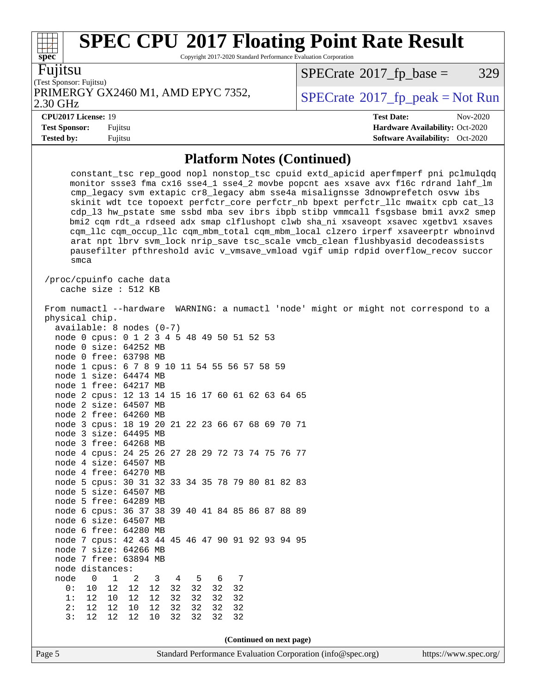Copyright 2017-2020 Standard Performance Evaluation Corporation

| I<br>П<br>I<br>I | ι. |
|------------------|----|
|                  |    |

**[spec](http://www.spec.org/)**

(Test Sponsor: Fujitsu) PRIMERGY GX2460 M1, AMD EPYC 7352,  $\begin{array}{|l|l|}\n\hline\n\text{SPECrate} \textdegree 2017_f\text{ peak} = Not Run\n\end{array}$  $\begin{array}{|l|l|}\n\hline\n\text{SPECrate} \textdegree 2017_f\text{ peak} = Not Run\n\end{array}$  $\begin{array}{|l|l|}\n\hline\n\text{SPECrate} \textdegree 2017_f\text{ peak} = Not Run\n\end{array}$ 

 $SPECTate$ <sup>®</sup>[2017\\_fp\\_base =](http://www.spec.org/auto/cpu2017/Docs/result-fields.html#SPECrate2017fpbase) 329

2.30 GHz

**[Tested by:](http://www.spec.org/auto/cpu2017/Docs/result-fields.html#Testedby)** Fujitsu **[Software Availability:](http://www.spec.org/auto/cpu2017/Docs/result-fields.html#SoftwareAvailability)** Oct-2020

**[CPU2017 License:](http://www.spec.org/auto/cpu2017/Docs/result-fields.html#CPU2017License)** 19 **[Test Date:](http://www.spec.org/auto/cpu2017/Docs/result-fields.html#TestDate)** Nov-2020 **[Test Sponsor:](http://www.spec.org/auto/cpu2017/Docs/result-fields.html#TestSponsor)** Fujitsu **[Hardware Availability:](http://www.spec.org/auto/cpu2017/Docs/result-fields.html#HardwareAvailability)** Oct-2020

### **[Platform Notes \(Continued\)](http://www.spec.org/auto/cpu2017/Docs/result-fields.html#PlatformNotes)**

|                          | smca         |    |                                                                           |      |    |    |    |                          |  |  | constant_tsc rep_good nopl nonstop_tsc cpuid extd_apicid aperfmperf pni pclmulqdq<br>monitor ssse3 fma cx16 sse4_1 sse4_2 movbe popcnt aes xsave avx f16c rdrand lahf_lm<br>cmp_legacy svm extapic cr8_legacy abm sse4a misalignsse 3dnowprefetch osvw ibs<br>skinit wdt tce topoext perfctr_core perfctr_nb bpext perfctr_llc mwaitx cpb cat_13<br>cdp_13 hw_pstate sme ssbd mba sev ibrs ibpb stibp vmmcall fsgsbase bmil avx2 smep<br>bmi2 cqm rdt_a rdseed adx smap clflushopt clwb sha_ni xsaveopt xsavec xgetbvl xsaves<br>cqm_llc cqm_occup_llc cqm_mbm_total cqm_mbm_local clzero irperf xsaveerptr wbnoinvd<br>arat npt lbrv svm_lock nrip_save tsc_scale vmcb_clean flushbyasid decodeassists<br>pausefilter pfthreshold avic v_vmsave_vmload vgif umip rdpid overflow_recov succor |  |  |  |                       |
|--------------------------|--------------|----|---------------------------------------------------------------------------|------|----|----|----|--------------------------|--|--|-----------------------------------------------------------------------------------------------------------------------------------------------------------------------------------------------------------------------------------------------------------------------------------------------------------------------------------------------------------------------------------------------------------------------------------------------------------------------------------------------------------------------------------------------------------------------------------------------------------------------------------------------------------------------------------------------------------------------------------------------------------------------------------------------|--|--|--|-----------------------|
| /proc/cpuinfo cache data |              |    | cache size : 512 KB                                                       |      |    |    |    |                          |  |  |                                                                                                                                                                                                                                                                                                                                                                                                                                                                                                                                                                                                                                                                                                                                                                                               |  |  |  |                       |
|                          |              |    |                                                                           |      |    |    |    |                          |  |  | From numactl --hardware WARNING: a numactl 'node' might or might not correspond to a                                                                                                                                                                                                                                                                                                                                                                                                                                                                                                                                                                                                                                                                                                          |  |  |  |                       |
| physical chip.           |              |    |                                                                           |      |    |    |    |                          |  |  |                                                                                                                                                                                                                                                                                                                                                                                                                                                                                                                                                                                                                                                                                                                                                                                               |  |  |  |                       |
|                          |              |    | $available: 8 nodes (0-7)$                                                |      |    |    |    |                          |  |  |                                                                                                                                                                                                                                                                                                                                                                                                                                                                                                                                                                                                                                                                                                                                                                                               |  |  |  |                       |
|                          |              |    | node 0 cpus: 0 1 2 3 4 5 48 49 50 51 52 53                                |      |    |    |    |                          |  |  |                                                                                                                                                                                                                                                                                                                                                                                                                                                                                                                                                                                                                                                                                                                                                                                               |  |  |  |                       |
|                          |              |    | node 0 size: 64252 MB                                                     |      |    |    |    |                          |  |  |                                                                                                                                                                                                                                                                                                                                                                                                                                                                                                                                                                                                                                                                                                                                                                                               |  |  |  |                       |
|                          |              |    | node 0 free: 63798 MB                                                     |      |    |    |    |                          |  |  |                                                                                                                                                                                                                                                                                                                                                                                                                                                                                                                                                                                                                                                                                                                                                                                               |  |  |  |                       |
|                          |              |    | node 1 cpus: 6 7 8 9 10 11 54 55 56 57 58 59                              |      |    |    |    |                          |  |  |                                                                                                                                                                                                                                                                                                                                                                                                                                                                                                                                                                                                                                                                                                                                                                                               |  |  |  |                       |
|                          |              |    | node 1 size: 64474 MB                                                     |      |    |    |    |                          |  |  |                                                                                                                                                                                                                                                                                                                                                                                                                                                                                                                                                                                                                                                                                                                                                                                               |  |  |  |                       |
|                          |              |    | node 1 free: 64217 MB                                                     |      |    |    |    |                          |  |  |                                                                                                                                                                                                                                                                                                                                                                                                                                                                                                                                                                                                                                                                                                                                                                                               |  |  |  |                       |
|                          |              |    | node 2 cpus: 12 13 14 15 16 17 60 61 62 63 64 65                          |      |    |    |    |                          |  |  |                                                                                                                                                                                                                                                                                                                                                                                                                                                                                                                                                                                                                                                                                                                                                                                               |  |  |  |                       |
|                          |              |    | node 2 size: 64507 MB                                                     |      |    |    |    |                          |  |  |                                                                                                                                                                                                                                                                                                                                                                                                                                                                                                                                                                                                                                                                                                                                                                                               |  |  |  |                       |
|                          |              |    | node 2 free: 64260 MB                                                     |      |    |    |    |                          |  |  |                                                                                                                                                                                                                                                                                                                                                                                                                                                                                                                                                                                                                                                                                                                                                                                               |  |  |  |                       |
|                          |              |    | node 3 cpus: 18 19 20 21 22 23 66 67 68 69 70 71                          |      |    |    |    |                          |  |  |                                                                                                                                                                                                                                                                                                                                                                                                                                                                                                                                                                                                                                                                                                                                                                                               |  |  |  |                       |
|                          |              |    | node 3 size: 64495 MB                                                     |      |    |    |    |                          |  |  |                                                                                                                                                                                                                                                                                                                                                                                                                                                                                                                                                                                                                                                                                                                                                                                               |  |  |  |                       |
|                          |              |    | node 3 free: 64268 MB                                                     |      |    |    |    |                          |  |  |                                                                                                                                                                                                                                                                                                                                                                                                                                                                                                                                                                                                                                                                                                                                                                                               |  |  |  |                       |
|                          |              |    | node 4 cpus: 24 25 26 27 28 29 72 73 74 75 76 77                          |      |    |    |    |                          |  |  |                                                                                                                                                                                                                                                                                                                                                                                                                                                                                                                                                                                                                                                                                                                                                                                               |  |  |  |                       |
|                          |              |    | node 4 size: 64507 MB                                                     |      |    |    |    |                          |  |  |                                                                                                                                                                                                                                                                                                                                                                                                                                                                                                                                                                                                                                                                                                                                                                                               |  |  |  |                       |
|                          |              |    | node 4 free: 64270 MB                                                     |      |    |    |    |                          |  |  |                                                                                                                                                                                                                                                                                                                                                                                                                                                                                                                                                                                                                                                                                                                                                                                               |  |  |  |                       |
|                          |              |    | node 5 cpus: 30 31 32 33 34 35 78 79 80 81 82 83                          |      |    |    |    |                          |  |  |                                                                                                                                                                                                                                                                                                                                                                                                                                                                                                                                                                                                                                                                                                                                                                                               |  |  |  |                       |
|                          |              |    | node 5 size: 64507 MB                                                     |      |    |    |    |                          |  |  |                                                                                                                                                                                                                                                                                                                                                                                                                                                                                                                                                                                                                                                                                                                                                                                               |  |  |  |                       |
|                          |              |    | node 5 free: 64289 MB                                                     |      |    |    |    |                          |  |  |                                                                                                                                                                                                                                                                                                                                                                                                                                                                                                                                                                                                                                                                                                                                                                                               |  |  |  |                       |
|                          |              |    | node 6 cpus: 36 37 38 39 40 41 84 85 86 87 88 89<br>node 6 size: 64507 MB |      |    |    |    |                          |  |  |                                                                                                                                                                                                                                                                                                                                                                                                                                                                                                                                                                                                                                                                                                                                                                                               |  |  |  |                       |
|                          |              |    | node 6 free: 64280 MB                                                     |      |    |    |    |                          |  |  |                                                                                                                                                                                                                                                                                                                                                                                                                                                                                                                                                                                                                                                                                                                                                                                               |  |  |  |                       |
|                          |              |    | node 7 cpus: 42 43 44 45 46 47 90 91 92 93 94 95                          |      |    |    |    |                          |  |  |                                                                                                                                                                                                                                                                                                                                                                                                                                                                                                                                                                                                                                                                                                                                                                                               |  |  |  |                       |
|                          |              |    | node 7 size: 64266 MB                                                     |      |    |    |    |                          |  |  |                                                                                                                                                                                                                                                                                                                                                                                                                                                                                                                                                                                                                                                                                                                                                                                               |  |  |  |                       |
|                          |              |    | node 7 free: 63894 MB                                                     |      |    |    |    |                          |  |  |                                                                                                                                                                                                                                                                                                                                                                                                                                                                                                                                                                                                                                                                                                                                                                                               |  |  |  |                       |
| node distances:          |              |    |                                                                           |      |    |    |    |                          |  |  |                                                                                                                                                                                                                                                                                                                                                                                                                                                                                                                                                                                                                                                                                                                                                                                               |  |  |  |                       |
| node                     | $\mathsf{O}$ | 1  | 2                                                                         | 3    | 4  | 5  | 6  | 7                        |  |  |                                                                                                                                                                                                                                                                                                                                                                                                                                                                                                                                                                                                                                                                                                                                                                                               |  |  |  |                       |
| 0:                       | 10           | 12 | $12$                                                                      | $12$ | 32 | 32 | 32 | 32                       |  |  |                                                                                                                                                                                                                                                                                                                                                                                                                                                                                                                                                                                                                                                                                                                                                                                               |  |  |  |                       |
| 1:                       | 12           | 10 | 12                                                                        | 12   | 32 | 32 | 32 | 32                       |  |  |                                                                                                                                                                                                                                                                                                                                                                                                                                                                                                                                                                                                                                                                                                                                                                                               |  |  |  |                       |
| 2:                       | 12           | 12 | 10                                                                        | 12   | 32 | 32 | 32 | 32                       |  |  |                                                                                                                                                                                                                                                                                                                                                                                                                                                                                                                                                                                                                                                                                                                                                                                               |  |  |  |                       |
| 3:                       | 12           | 12 | 12                                                                        | 10   | 32 | 32 | 32 | 32                       |  |  |                                                                                                                                                                                                                                                                                                                                                                                                                                                                                                                                                                                                                                                                                                                                                                                               |  |  |  |                       |
|                          |              |    |                                                                           |      |    |    |    |                          |  |  |                                                                                                                                                                                                                                                                                                                                                                                                                                                                                                                                                                                                                                                                                                                                                                                               |  |  |  |                       |
|                          |              |    |                                                                           |      |    |    |    | (Continued on next page) |  |  |                                                                                                                                                                                                                                                                                                                                                                                                                                                                                                                                                                                                                                                                                                                                                                                               |  |  |  |                       |
|                          |              |    |                                                                           |      |    |    |    |                          |  |  |                                                                                                                                                                                                                                                                                                                                                                                                                                                                                                                                                                                                                                                                                                                                                                                               |  |  |  |                       |
| Page 5                   |              |    |                                                                           |      |    |    |    |                          |  |  | Standard Performance Evaluation Corporation (info@spec.org)                                                                                                                                                                                                                                                                                                                                                                                                                                                                                                                                                                                                                                                                                                                                   |  |  |  | https://www.spec.org/ |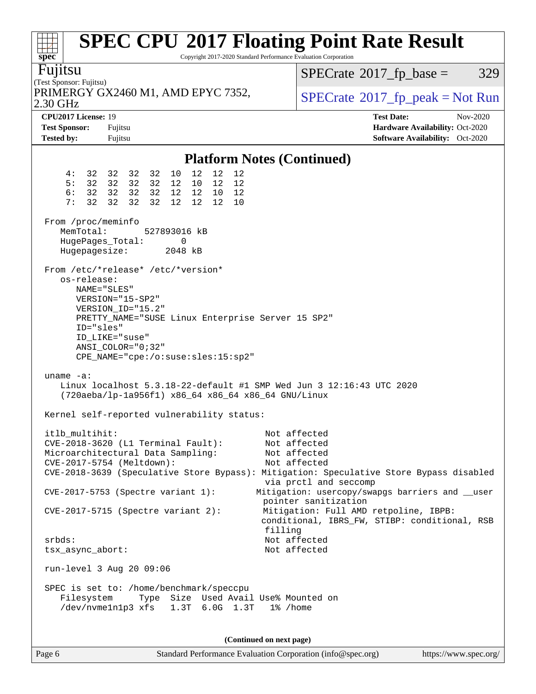| <b>SPEC CPU®2017 Floating Point Rate Result</b><br>Copyright 2017-2020 Standard Performance Evaluation Corporation<br>$spec^*$                                                                                                                           |                                                                                                                                                                  |
|----------------------------------------------------------------------------------------------------------------------------------------------------------------------------------------------------------------------------------------------------------|------------------------------------------------------------------------------------------------------------------------------------------------------------------|
| Fujitsu<br>(Test Sponsor: Fujitsu)                                                                                                                                                                                                                       | $SPECrate^{\circledast}2017$ _fp_base =<br>329                                                                                                                   |
| PRIMERGY GX2460 M1, AMD EPYC 7352,<br>2.30 GHz                                                                                                                                                                                                           | $SPECrate^{\circ}2017$ [p_peak = Not Run                                                                                                                         |
| CPU2017 License: 19<br><b>Test Sponsor:</b><br>Fujitsu<br><b>Tested by:</b><br>Fujitsu                                                                                                                                                                   | <b>Test Date:</b><br>Nov-2020<br>Hardware Availability: Oct-2020<br>Software Availability: Oct-2020                                                              |
| <b>Platform Notes (Continued)</b>                                                                                                                                                                                                                        |                                                                                                                                                                  |
| 12<br>12<br>4:<br>10<br>12<br>32 32<br>32 32<br>5:<br>32 32<br>32 32<br>12 10<br>12<br>12<br>6:<br>32 32<br>32 32<br>12 12 10<br>12<br>7:<br>32<br>32<br>32<br>32<br>12<br>12<br>12<br>10<br>From /proc/meminfo                                          |                                                                                                                                                                  |
| MemTotal:<br>527893016 kB<br>HugePages_Total:<br>0<br>Hugepagesize:<br>2048 kB                                                                                                                                                                           |                                                                                                                                                                  |
| From /etc/*release* /etc/*version*<br>os-release:<br>NAME="SLES"<br>VERSION="15-SP2"<br>VERSION_ID="15.2"<br>PRETTY_NAME="SUSE Linux Enterprise Server 15 SP2"<br>ID="sles"<br>ID LIKE="suse"<br>ANSI COLOR="0;32"<br>CPE_NAME="cpe:/o:suse:sles:15:sp2" |                                                                                                                                                                  |
| $uname -a$ :<br>Linux localhost $5.3.18-22$ -default #1 SMP Wed Jun 3 12:16:43 UTC 2020<br>(720aeba/lp-1a956f1) x86_64 x86_64 x86_64 GNU/Linux<br>Kernel self-reported vulnerability status:                                                             |                                                                                                                                                                  |
| itlb multihit:<br>CVE-2018-3620 (L1 Terminal Fault):<br>Microarchitectural Data Sampling:<br>CVE-2017-5754 (Meltdown):<br>CVE-2018-3639 (Speculative Store Bypass): Mitigation: Speculative Store Bypass disabled<br>CVE-2017-5753 (Spectre variant 1):  | Not affected<br>Not affected<br>Not affected<br>Not affected<br>via prctl and seccomp<br>Mitigation: usercopy/swapgs barriers and __user<br>pointer sanitization |
| $CVE-2017-5715$ (Spectre variant 2):<br>filling<br>$srbds$ :                                                                                                                                                                                             | Mitigation: Full AMD retpoline, IBPB:<br>conditional, IBRS_FW, STIBP: conditional, RSB<br>Not affected                                                           |
| tsx_async_abort:                                                                                                                                                                                                                                         | Not affected                                                                                                                                                     |
| run-level 3 Aug 20 09:06                                                                                                                                                                                                                                 |                                                                                                                                                                  |
| SPEC is set to: /home/benchmark/speccpu<br>Type Size Used Avail Use% Mounted on<br>Filesystem<br>/dev/nvme1n1p3 xfs<br>1.3T 6.0G 1.3T<br>1% /home                                                                                                        |                                                                                                                                                                  |
| (Continued on next page)                                                                                                                                                                                                                                 |                                                                                                                                                                  |

Page 6 Standard Performance Evaluation Corporation [\(info@spec.org\)](mailto:info@spec.org) <https://www.spec.org/>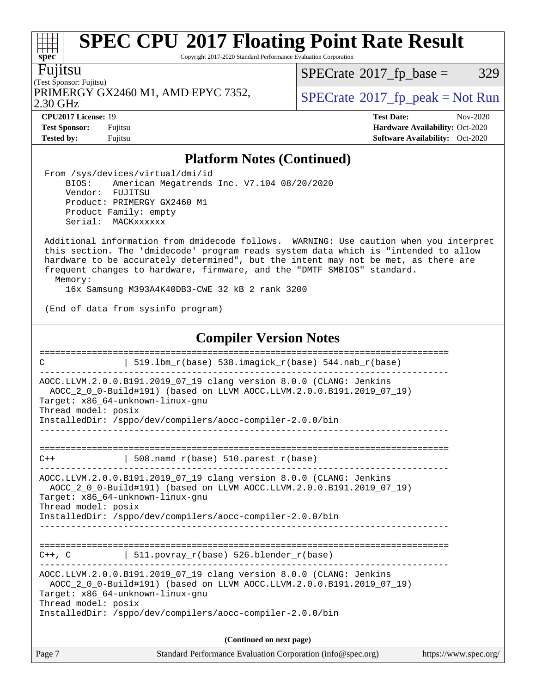Copyright 2017-2020 Standard Performance Evaluation Corporation

Fujitsu

(Test Sponsor: Fujitsu) 2.30 GHz PRIMERGY GX2460 M1, AMD EPYC 7352,  $\vert$ [SPECrate](http://www.spec.org/auto/cpu2017/Docs/result-fields.html#SPECrate2017fppeak)®[2017\\_fp\\_peak = N](http://www.spec.org/auto/cpu2017/Docs/result-fields.html#SPECrate2017fppeak)ot Run

 $SPECTate@2017_fp\_base = 329$ 

**[CPU2017 License:](http://www.spec.org/auto/cpu2017/Docs/result-fields.html#CPU2017License)** 19 **[Test Date:](http://www.spec.org/auto/cpu2017/Docs/result-fields.html#TestDate)** Nov-2020 **[Test Sponsor:](http://www.spec.org/auto/cpu2017/Docs/result-fields.html#TestSponsor)** Fujitsu **[Hardware Availability:](http://www.spec.org/auto/cpu2017/Docs/result-fields.html#HardwareAvailability)** Oct-2020 **[Tested by:](http://www.spec.org/auto/cpu2017/Docs/result-fields.html#Testedby)** Fujitsu **Fugital Exception Contract Contract Contract Contract Contract Contract Contract Contract Contract Contract Contract Contract Contract Contract Contract Contract Contract Contract Contract Contract Co** 

### **[Platform Notes \(Continued\)](http://www.spec.org/auto/cpu2017/Docs/result-fields.html#PlatformNotes)**

 From /sys/devices/virtual/dmi/id BIOS: American Megatrends Inc. V7.104 08/20/2020 Vendor: FUJITSU Product: PRIMERGY GX2460 M1 Product Family: empty Serial: MACKxxxxxx

 Additional information from dmidecode follows. WARNING: Use caution when you interpret this section. The 'dmidecode' program reads system data which is "intended to allow hardware to be accurately determined", but the intent may not be met, as there are frequent changes to hardware, firmware, and the "DMTF SMBIOS" standard. Memory:

16x Samsung M393A4K40DB3-CWE 32 kB 2 rank 3200

(End of data from sysinfo program)

### **[Compiler Version Notes](http://www.spec.org/auto/cpu2017/Docs/result-fields.html#CompilerVersionNotes)**

| C                   | 519.1bm_r(base) 538.imagick_r(base) 544.nab_r(base)                                                                                                                                                                                           |                       |
|---------------------|-----------------------------------------------------------------------------------------------------------------------------------------------------------------------------------------------------------------------------------------------|-----------------------|
| Thread model: posix | AOCC.LLVM.2.0.0.B191.2019_07_19 clang version 8.0.0 (CLANG: Jenkins<br>AOCC_2_0_0-Build#191) (based on LLVM AOCC.LLVM.2.0.0.B191.2019_07_19)<br>Target: x86 64-unknown-linux-qnu<br>InstalledDir: /sppo/dev/compilers/aocc-compiler-2.0.0/bin |                       |
| $C++$               | $508.n$ amd_r(base) $510.parest_r(base)$                                                                                                                                                                                                      |                       |
| Thread model: posix | AOCC.LLVM.2.0.0.B191.2019_07_19 clang version 8.0.0 (CLANG: Jenkins<br>AOCC 2 0 0-Build#191) (based on LLVM AOCC.LLVM.2.0.0.B191.2019 07 19)<br>Target: x86 64-unknown-linux-gnu<br>InstalledDir: /sppo/dev/compilers/aocc-compiler-2.0.0/bin |                       |
| $C++$ , $C$         | $511.povray_r(base) 526.blender_r(base)$                                                                                                                                                                                                      |                       |
| Thread model: posix | AOCC.LLVM.2.0.0.B191.2019_07_19 clang version 8.0.0 (CLANG: Jenkins<br>AOCC_2_0_0-Build#191) (based on LLVM AOCC.LLVM.2.0.0.B191.2019_07_19)<br>Target: x86 64-unknown-linux-gnu<br>InstalledDir: /sppo/dev/compilers/aocc-compiler-2.0.0/bin |                       |
|                     | (Continued on next page)                                                                                                                                                                                                                      |                       |
| Page 7              | Standard Performance Evaluation Corporation (info@spec.org)                                                                                                                                                                                   | https://www.spec.org/ |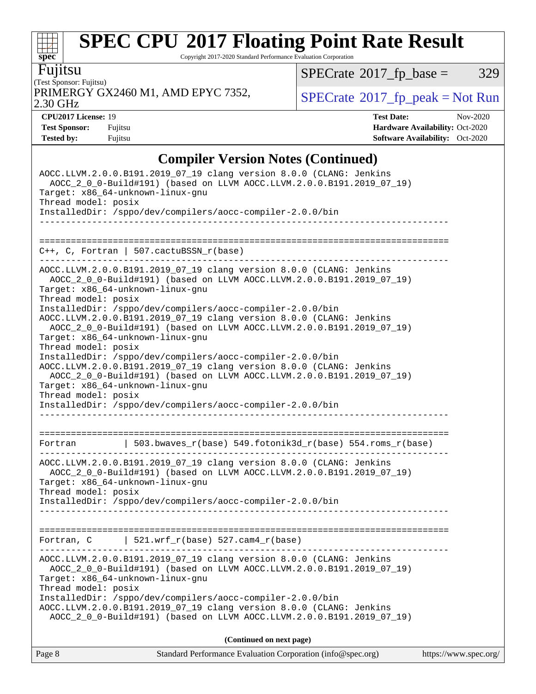Copyright 2017-2020 Standard Performance Evaluation Corporation

Fujitsu

(Test Sponsor: Fujitsu) 2.30 GHz PRIMERGY GX2460 M1, AMD EPYC 7352,  $\vert$  [SPECrate](http://www.spec.org/auto/cpu2017/Docs/result-fields.html#SPECrate2017fppeak) [2017\\_fp\\_peak = N](http://www.spec.org/auto/cpu2017/Docs/result-fields.html#SPECrate2017fppeak)ot Run

 $SPECTate$ <sup>®</sup>[2017\\_fp\\_base =](http://www.spec.org/auto/cpu2017/Docs/result-fields.html#SPECrate2017fpbase) 329

**[spec](http://www.spec.org/)**

 $+\ +$ 

**[CPU2017 License:](http://www.spec.org/auto/cpu2017/Docs/result-fields.html#CPU2017License)** 19 **[Test Date:](http://www.spec.org/auto/cpu2017/Docs/result-fields.html#TestDate)** Nov-2020 **[Test Sponsor:](http://www.spec.org/auto/cpu2017/Docs/result-fields.html#TestSponsor)** Fujitsu **[Hardware Availability:](http://www.spec.org/auto/cpu2017/Docs/result-fields.html#HardwareAvailability)** Oct-2020 **[Tested by:](http://www.spec.org/auto/cpu2017/Docs/result-fields.html#Testedby)** Fujitsu **[Software Availability:](http://www.spec.org/auto/cpu2017/Docs/result-fields.html#SoftwareAvailability)** Oct-2020

### **[Compiler Version Notes \(Continued\)](http://www.spec.org/auto/cpu2017/Docs/result-fields.html#CompilerVersionNotes)**

| Standard Performance Evaluation Corporation (info@spec.org)<br>Page 8                                                                                                                                                                                                                                                                                                                                                | https://www.spec.org/ |
|----------------------------------------------------------------------------------------------------------------------------------------------------------------------------------------------------------------------------------------------------------------------------------------------------------------------------------------------------------------------------------------------------------------------|-----------------------|
| (Continued on next page)                                                                                                                                                                                                                                                                                                                                                                                             |                       |
| AOCC.LLVM.2.0.0.B191.2019_07_19 clang version 8.0.0 (CLANG: Jenkins<br>AOCC_2_0_0-Build#191) (based on LLVM AOCC.LLVM.2.0.0.B191.2019_07_19)<br>Target: x86_64-unknown-linux-gnu<br>Thread model: posix<br>InstalledDir: /sppo/dev/compilers/aocc-compiler-2.0.0/bin<br>AOCC.LLVM.2.0.0.B191.2019_07_19 clang version 8.0.0 (CLANG: Jenkins<br>AOCC_2_0_0-Build#191) (based on LLVM AOCC.LLVM.2.0.0.B191.2019_07_19) |                       |
| Fortran, $C$   521.wrf_r(base) 527.cam4_r(base)                                                                                                                                                                                                                                                                                                                                                                      |                       |
| AOCC.LLVM.2.0.0.B191.2019_07_19 clang version 8.0.0 (CLANG: Jenkins<br>AOCC_2_0_0-Build#191) (based on LLVM AOCC.LLVM.2.0.0.B191.2019_07_19)<br>Target: x86_64-unknown-linux-gnu<br>Thread model: posix<br>InstalledDir: /sppo/dev/compilers/aocc-compiler-2.0.0/bin<br>---------                                                                                                                                    |                       |
| Fortran $\vert$ 503.bwaves_r(base) 549.fotonik3d_r(base) 554.roms_r(base)                                                                                                                                                                                                                                                                                                                                            |                       |
| Target: x86_64-unknown-linux-gnu<br>Thread model: posix<br>InstalledDir: /sppo/dev/compilers/aocc-compiler-2.0.0/bin<br>AOCC.LLVM.2.0.0.B191.2019_07_19 clang version 8.0.0 (CLANG: Jenkins<br>AOCC_2_0_0-Build#191) (based on LLVM AOCC.LLVM.2.0.0.B191.2019_07_19)<br>Target: x86_64-unknown-linux-gnu<br>Thread model: posix<br>InstalledDir: /sppo/dev/compilers/aocc-compiler-2.0.0/bin                         |                       |
| AOCC.LLVM.2.0.0.B191.2019_07_19 clang version 8.0.0 (CLANG: Jenkins<br>AOCC_2_0_0-Build#191) (based on LLVM AOCC.LLVM.2.0.0.B191.2019_07_19)<br>Target: x86 64-unknown-linux-gnu<br>Thread model: posix<br>InstalledDir: /sppo/dev/compilers/aocc-compiler-2.0.0/bin<br>AOCC.LLVM.2.0.0.B191.2019_07_19 clang version 8.0.0 (CLANG: Jenkins<br>AOCC_2_0_0-Build#191) (based on LLVM AOCC.LLVM.2.0.0.B191.2019_07_19) |                       |
| $C++$ , C, Fortran   507.cactuBSSN_r(base)<br>----------                                                                                                                                                                                                                                                                                                                                                             |                       |
| Thread model: posix<br>InstalledDir: /sppo/dev/compilers/aocc-compiler-2.0.0/bin                                                                                                                                                                                                                                                                                                                                     |                       |
| AOCC.LLVM.2.0.0.B191.2019_07_19 clang version 8.0.0 (CLANG: Jenkins<br>AOCC_2_0_0-Build#191) (based on LLVM AOCC.LLVM.2.0.0.B191.2019_07_19)<br>Target: x86_64-unknown-linux-gnu                                                                                                                                                                                                                                     |                       |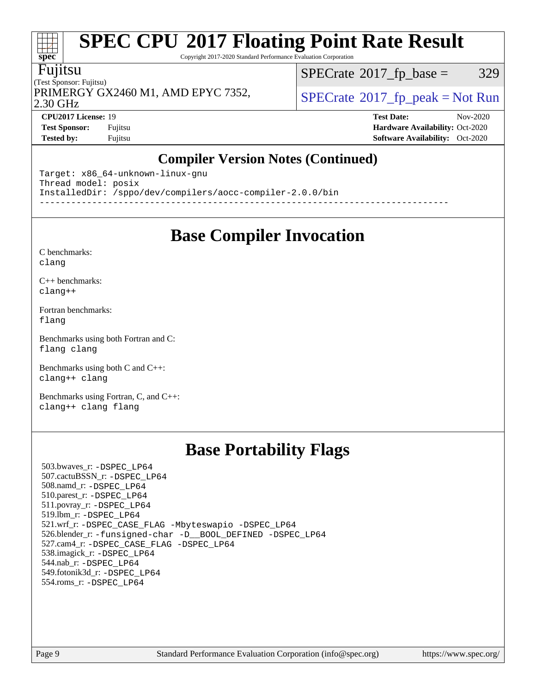Copyright 2017-2020 Standard Performance Evaluation Corporation

#### Fujitsu

**[spec](http://www.spec.org/)**

at t

(Test Sponsor: Fujitsu) 2.30 GHz PRIMERGY GX2460 M1, AMD EPYC 7352,  $\vert$ [SPECrate](http://www.spec.org/auto/cpu2017/Docs/result-fields.html#SPECrate2017fppeak)®[2017\\_fp\\_peak = N](http://www.spec.org/auto/cpu2017/Docs/result-fields.html#SPECrate2017fppeak)ot Run

 $SPECTate@2017_fp\_base = 329$ 

**[CPU2017 License:](http://www.spec.org/auto/cpu2017/Docs/result-fields.html#CPU2017License)** 19 **[Test Date:](http://www.spec.org/auto/cpu2017/Docs/result-fields.html#TestDate)** Nov-2020 **[Test Sponsor:](http://www.spec.org/auto/cpu2017/Docs/result-fields.html#TestSponsor)** Fujitsu **[Hardware Availability:](http://www.spec.org/auto/cpu2017/Docs/result-fields.html#HardwareAvailability)** Oct-2020 **[Tested by:](http://www.spec.org/auto/cpu2017/Docs/result-fields.html#Testedby)** Fujitsu **[Software Availability:](http://www.spec.org/auto/cpu2017/Docs/result-fields.html#SoftwareAvailability)** Oct-2020

### **[Compiler Version Notes \(Continued\)](http://www.spec.org/auto/cpu2017/Docs/result-fields.html#CompilerVersionNotes)**

Target: x86\_64-unknown-linux-gnu Thread model: posix InstalledDir: /sppo/dev/compilers/aocc-compiler-2.0.0/bin ------------------------------------------------------------------------------

**[Base Compiler Invocation](http://www.spec.org/auto/cpu2017/Docs/result-fields.html#BaseCompilerInvocation)**

#### [C benchmarks](http://www.spec.org/auto/cpu2017/Docs/result-fields.html#Cbenchmarks): [clang](http://www.spec.org/cpu2017/results/res2020q4/cpu2017-20201124-24491.flags.html#user_CCbase_clang-c)

[C++ benchmarks:](http://www.spec.org/auto/cpu2017/Docs/result-fields.html#CXXbenchmarks) [clang++](http://www.spec.org/cpu2017/results/res2020q4/cpu2017-20201124-24491.flags.html#user_CXXbase_clang-cpp)

[Fortran benchmarks](http://www.spec.org/auto/cpu2017/Docs/result-fields.html#Fortranbenchmarks): [flang](http://www.spec.org/cpu2017/results/res2020q4/cpu2017-20201124-24491.flags.html#user_FCbase_flang)

[Benchmarks using both Fortran and C](http://www.spec.org/auto/cpu2017/Docs/result-fields.html#BenchmarksusingbothFortranandC): [flang](http://www.spec.org/cpu2017/results/res2020q4/cpu2017-20201124-24491.flags.html#user_CC_FCbase_flang) [clang](http://www.spec.org/cpu2017/results/res2020q4/cpu2017-20201124-24491.flags.html#user_CC_FCbase_clang-c)

[Benchmarks using both C and C++](http://www.spec.org/auto/cpu2017/Docs/result-fields.html#BenchmarksusingbothCandCXX): [clang++](http://www.spec.org/cpu2017/results/res2020q4/cpu2017-20201124-24491.flags.html#user_CC_CXXbase_clang-cpp) [clang](http://www.spec.org/cpu2017/results/res2020q4/cpu2017-20201124-24491.flags.html#user_CC_CXXbase_clang-c)

[Benchmarks using Fortran, C, and C++:](http://www.spec.org/auto/cpu2017/Docs/result-fields.html#BenchmarksusingFortranCandCXX) [clang++](http://www.spec.org/cpu2017/results/res2020q4/cpu2017-20201124-24491.flags.html#user_CC_CXX_FCbase_clang-cpp) [clang](http://www.spec.org/cpu2017/results/res2020q4/cpu2017-20201124-24491.flags.html#user_CC_CXX_FCbase_clang-c) [flang](http://www.spec.org/cpu2017/results/res2020q4/cpu2017-20201124-24491.flags.html#user_CC_CXX_FCbase_flang)

### **[Base Portability Flags](http://www.spec.org/auto/cpu2017/Docs/result-fields.html#BasePortabilityFlags)**

 503.bwaves\_r: [-DSPEC\\_LP64](http://www.spec.org/cpu2017/results/res2020q4/cpu2017-20201124-24491.flags.html#suite_baseEXTRA_PORTABILITY503_bwaves_r_DSPEC_LP64) 507.cactuBSSN\_r: [-DSPEC\\_LP64](http://www.spec.org/cpu2017/results/res2020q4/cpu2017-20201124-24491.flags.html#suite_baseEXTRA_PORTABILITY507_cactuBSSN_r_DSPEC_LP64) 508.namd\_r: [-DSPEC\\_LP64](http://www.spec.org/cpu2017/results/res2020q4/cpu2017-20201124-24491.flags.html#suite_baseEXTRA_PORTABILITY508_namd_r_DSPEC_LP64) 510.parest\_r: [-DSPEC\\_LP64](http://www.spec.org/cpu2017/results/res2020q4/cpu2017-20201124-24491.flags.html#suite_baseEXTRA_PORTABILITY510_parest_r_DSPEC_LP64) 511.povray\_r: [-DSPEC\\_LP64](http://www.spec.org/cpu2017/results/res2020q4/cpu2017-20201124-24491.flags.html#suite_baseEXTRA_PORTABILITY511_povray_r_DSPEC_LP64) 519.lbm\_r: [-DSPEC\\_LP64](http://www.spec.org/cpu2017/results/res2020q4/cpu2017-20201124-24491.flags.html#suite_baseEXTRA_PORTABILITY519_lbm_r_DSPEC_LP64) 521.wrf\_r: [-DSPEC\\_CASE\\_FLAG](http://www.spec.org/cpu2017/results/res2020q4/cpu2017-20201124-24491.flags.html#b521.wrf_r_baseCPORTABILITY_DSPEC_CASE_FLAG) [-Mbyteswapio](http://www.spec.org/cpu2017/results/res2020q4/cpu2017-20201124-24491.flags.html#user_baseFPORTABILITY521_wrf_r_F-mbyteswapio_543c39ce38db59bcbc3b888917ef58c313007ae1c27520b689e012995ae261114051d1d5efcb4182d175ce22a6a15532d3a9999882dd2c360e6d853f41da6883) [-DSPEC\\_LP64](http://www.spec.org/cpu2017/results/res2020q4/cpu2017-20201124-24491.flags.html#suite_baseEXTRA_PORTABILITY521_wrf_r_DSPEC_LP64) 526.blender\_r: [-funsigned-char](http://www.spec.org/cpu2017/results/res2020q4/cpu2017-20201124-24491.flags.html#user_baseCPORTABILITY526_blender_r_aocc-unsigned-char) [-D\\_\\_BOOL\\_DEFINED](http://www.spec.org/cpu2017/results/res2020q4/cpu2017-20201124-24491.flags.html#b526.blender_r_baseCXXPORTABILITY_D__BOOL_DEFINED) [-DSPEC\\_LP64](http://www.spec.org/cpu2017/results/res2020q4/cpu2017-20201124-24491.flags.html#suite_baseEXTRA_PORTABILITY526_blender_r_DSPEC_LP64) 527.cam4\_r: [-DSPEC\\_CASE\\_FLAG](http://www.spec.org/cpu2017/results/res2020q4/cpu2017-20201124-24491.flags.html#b527.cam4_r_basePORTABILITY_DSPEC_CASE_FLAG) [-DSPEC\\_LP64](http://www.spec.org/cpu2017/results/res2020q4/cpu2017-20201124-24491.flags.html#suite_baseEXTRA_PORTABILITY527_cam4_r_DSPEC_LP64) 538.imagick\_r: [-DSPEC\\_LP64](http://www.spec.org/cpu2017/results/res2020q4/cpu2017-20201124-24491.flags.html#suite_baseEXTRA_PORTABILITY538_imagick_r_DSPEC_LP64) 544.nab\_r: [-DSPEC\\_LP64](http://www.spec.org/cpu2017/results/res2020q4/cpu2017-20201124-24491.flags.html#suite_baseEXTRA_PORTABILITY544_nab_r_DSPEC_LP64) 549.fotonik3d\_r: [-DSPEC\\_LP64](http://www.spec.org/cpu2017/results/res2020q4/cpu2017-20201124-24491.flags.html#suite_baseEXTRA_PORTABILITY549_fotonik3d_r_DSPEC_LP64) 554.roms\_r: [-DSPEC\\_LP64](http://www.spec.org/cpu2017/results/res2020q4/cpu2017-20201124-24491.flags.html#suite_baseEXTRA_PORTABILITY554_roms_r_DSPEC_LP64)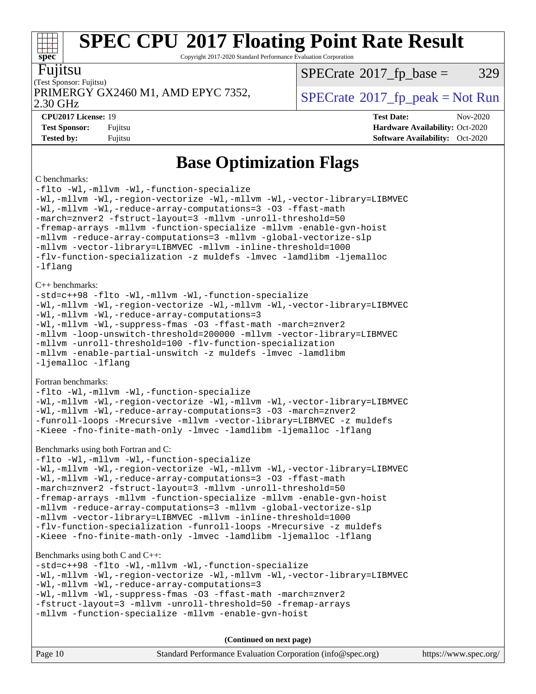Copyright 2017-2020 Standard Performance Evaluation Corporation

| ı<br>1<br>I | ι. |
|-------------|----|

**[spec](http://www.spec.org/)**

#### (Test Sponsor: Fujitsu) 2.30 GHz PRIMERGY GX2460 M1, AMD EPYC 7352,  $\vert$  [SPECrate](http://www.spec.org/auto/cpu2017/Docs/result-fields.html#SPECrate2017fppeak) 2017 fp peak = Not Run

 $SPECTate@2017_fp\_base = 329$ 

**[CPU2017 License:](http://www.spec.org/auto/cpu2017/Docs/result-fields.html#CPU2017License)** 19 **[Test Date:](http://www.spec.org/auto/cpu2017/Docs/result-fields.html#TestDate)** Nov-2020 **[Test Sponsor:](http://www.spec.org/auto/cpu2017/Docs/result-fields.html#TestSponsor)** Fujitsu **[Hardware Availability:](http://www.spec.org/auto/cpu2017/Docs/result-fields.html#HardwareAvailability)** Oct-2020 **[Tested by:](http://www.spec.org/auto/cpu2017/Docs/result-fields.html#Testedby)** Fujitsu **[Software Availability:](http://www.spec.org/auto/cpu2017/Docs/result-fields.html#SoftwareAvailability)** Oct-2020

### **[Base Optimization Flags](http://www.spec.org/auto/cpu2017/Docs/result-fields.html#BaseOptimizationFlags)**

#### [C benchmarks:](http://www.spec.org/auto/cpu2017/Docs/result-fields.html#Cbenchmarks)

[-flto](http://www.spec.org/cpu2017/results/res2020q4/cpu2017-20201124-24491.flags.html#user_CCbase_aocc-flto) [-Wl,-mllvm -Wl,-function-specialize](http://www.spec.org/cpu2017/results/res2020q4/cpu2017-20201124-24491.flags.html#user_CCbase_F-function-specialize_7e7e661e57922243ee67c9a1251cb8910e607325179a0ce7f2884e09a6f5d4a5ef0ae4f37e8a2a11c95fc48e931f06dc2b6016f14b511fcb441e048bef1b065a) [-Wl,-mllvm -Wl,-region-vectorize](http://www.spec.org/cpu2017/results/res2020q4/cpu2017-20201124-24491.flags.html#user_CCbase_F-region-vectorize_fb6c6b5aa293c88efc6c7c2b52b20755e943585b1fe8658c35afef78727fff56e1a56891413c30e36b8e2a6f9a71126986319243e80eb6110b78b288f533c52b) [-Wl,-mllvm -Wl,-vector-library=LIBMVEC](http://www.spec.org/cpu2017/results/res2020q4/cpu2017-20201124-24491.flags.html#user_CCbase_F-use-vector-library_0a14b27fae317f283640384a31f7bfcc2bd4c1d0b5cfc618a3a430800c9b20217b00f61303eff223a3251b4f06ffbc9739dc5296db9d1fbb9ad24a3939d86d66) [-Wl,-mllvm -Wl,-reduce-array-computations=3](http://www.spec.org/cpu2017/results/res2020q4/cpu2017-20201124-24491.flags.html#user_CCbase_F-reduce-array-computations_b882aefe7a5dda4e33149f6299762b9a720dace3e498e13756f4c04e5a19edf5315c1f3993de2e61ec41e8c206231f84e05da7040e1bb5d69ba27d10a12507e4) [-O3](http://www.spec.org/cpu2017/results/res2020q4/cpu2017-20201124-24491.flags.html#user_CCbase_F-O3) [-ffast-math](http://www.spec.org/cpu2017/results/res2020q4/cpu2017-20201124-24491.flags.html#user_CCbase_aocc-ffast-math) [-march=znver2](http://www.spec.org/cpu2017/results/res2020q4/cpu2017-20201124-24491.flags.html#user_CCbase_aocc-march_3e2e19cff2eeef60c5d90b059483627c9ea47eca6d66670dbd53f9185f6439e27eb5e104cf773e9e8ab18c8842ce63e461a3e948d0214bd567ef3ade411bf467) [-fstruct-layout=3](http://www.spec.org/cpu2017/results/res2020q4/cpu2017-20201124-24491.flags.html#user_CCbase_F-struct-layout) [-mllvm -unroll-threshold=50](http://www.spec.org/cpu2017/results/res2020q4/cpu2017-20201124-24491.flags.html#user_CCbase_F-unroll-threshold_458874500b2c105d6d5cb4d7a611c40e2b16e9e3d26b355fea72d644c3673b4de4b3932662f0ed3dbec75c491a13da2d2ca81180bd779dc531083ef1e1e549dc) [-fremap-arrays](http://www.spec.org/cpu2017/results/res2020q4/cpu2017-20201124-24491.flags.html#user_CCbase_F-fremap-arrays) [-mllvm -function-specialize](http://www.spec.org/cpu2017/results/res2020q4/cpu2017-20201124-24491.flags.html#user_CCbase_F-function-specialize_233b3bdba86027f1b094368157e481c5bc59f40286dc25bfadc1858dcd5745c24fd30d5f188710db7fea399bcc9f44a80b3ce3aacc70a8870250c3ae5e1f35b8) [-mllvm -enable-gvn-hoist](http://www.spec.org/cpu2017/results/res2020q4/cpu2017-20201124-24491.flags.html#user_CCbase_F-enable-gvn-hoist_e5856354646dd6ca1333a0ad99b817e4cf8932b91b82809fd8fd47ceff7b22a89eba5c98fd3e3fa5200368fd772cec3dd56abc3c8f7b655a71b9f9848dddedd5) [-mllvm -reduce-array-computations=3](http://www.spec.org/cpu2017/results/res2020q4/cpu2017-20201124-24491.flags.html#user_CCbase_F-reduce-array-computations_aceadb8604558b566e0e3a0d7a3c1533923dd1fa0889614e16288028922629a28d5695c24d3b3be4306b1e311c54317dfffe3a2e57fbcaabc737a1798de39145) [-mllvm -global-vectorize-slp](http://www.spec.org/cpu2017/results/res2020q4/cpu2017-20201124-24491.flags.html#user_CCbase_F-global-vectorize-slp_a3935e8627af4ced727033b1ffd4db27f4d541a363d28d82bf4c2925fb3a0fd4115d6e42d13a2829f9e024d6608eb67a85cb49770f2da5c5ac8dbc737afad603) [-mllvm -vector-library=LIBMVEC](http://www.spec.org/cpu2017/results/res2020q4/cpu2017-20201124-24491.flags.html#user_CCbase_F-use-vector-library_e584e20b4f7ec96aa109254b65d8e01d864f3d68580371b9d93ed7c338191d4cfce20c3c864632264effc6bbe4c7c38153d02096a342ee92501c4a53204a7871) [-mllvm -inline-threshold=1000](http://www.spec.org/cpu2017/results/res2020q4/cpu2017-20201124-24491.flags.html#user_CCbase_dragonegg-llvm-inline-threshold_b7832241b0a6397e4ecdbaf0eb7defdc10f885c2a282fa3240fdc99844d543fda39cf8a4a9dccf68cf19b5438ac3b455264f478df15da0f4988afa40d8243bab) [-flv-function-specialization](http://www.spec.org/cpu2017/results/res2020q4/cpu2017-20201124-24491.flags.html#user_CCbase_F-flv-function-specialization) [-z muldefs](http://www.spec.org/cpu2017/results/res2020q4/cpu2017-20201124-24491.flags.html#user_CCbase_aocc-muldefs) [-lmvec](http://www.spec.org/cpu2017/results/res2020q4/cpu2017-20201124-24491.flags.html#user_CCbase_F-lmvec) [-lamdlibm](http://www.spec.org/cpu2017/results/res2020q4/cpu2017-20201124-24491.flags.html#user_CCbase_F-lamdlibm) [-ljemalloc](http://www.spec.org/cpu2017/results/res2020q4/cpu2017-20201124-24491.flags.html#user_CCbase_jemalloc-lib) [-lflang](http://www.spec.org/cpu2017/results/res2020q4/cpu2017-20201124-24491.flags.html#user_CCbase_F-lflang) [C++ benchmarks](http://www.spec.org/auto/cpu2017/Docs/result-fields.html#CXXbenchmarks): [-std=c++98](http://www.spec.org/cpu2017/results/res2020q4/cpu2017-20201124-24491.flags.html#user_CXXbase_std-cpp) [-flto](http://www.spec.org/cpu2017/results/res2020q4/cpu2017-20201124-24491.flags.html#user_CXXbase_aocc-flto) [-Wl,-mllvm -Wl,-function-specialize](http://www.spec.org/cpu2017/results/res2020q4/cpu2017-20201124-24491.flags.html#user_CXXbase_F-function-specialize_7e7e661e57922243ee67c9a1251cb8910e607325179a0ce7f2884e09a6f5d4a5ef0ae4f37e8a2a11c95fc48e931f06dc2b6016f14b511fcb441e048bef1b065a) [-Wl,-mllvm -Wl,-region-vectorize](http://www.spec.org/cpu2017/results/res2020q4/cpu2017-20201124-24491.flags.html#user_CXXbase_F-region-vectorize_fb6c6b5aa293c88efc6c7c2b52b20755e943585b1fe8658c35afef78727fff56e1a56891413c30e36b8e2a6f9a71126986319243e80eb6110b78b288f533c52b) [-Wl,-mllvm -Wl,-vector-library=LIBMVEC](http://www.spec.org/cpu2017/results/res2020q4/cpu2017-20201124-24491.flags.html#user_CXXbase_F-use-vector-library_0a14b27fae317f283640384a31f7bfcc2bd4c1d0b5cfc618a3a430800c9b20217b00f61303eff223a3251b4f06ffbc9739dc5296db9d1fbb9ad24a3939d86d66) [-Wl,-mllvm -Wl,-reduce-array-computations=3](http://www.spec.org/cpu2017/results/res2020q4/cpu2017-20201124-24491.flags.html#user_CXXbase_F-reduce-array-computations_b882aefe7a5dda4e33149f6299762b9a720dace3e498e13756f4c04e5a19edf5315c1f3993de2e61ec41e8c206231f84e05da7040e1bb5d69ba27d10a12507e4) [-Wl,-mllvm -Wl,-suppress-fmas](http://www.spec.org/cpu2017/results/res2020q4/cpu2017-20201124-24491.flags.html#user_CXXbase_F-suppress-fmas_f00f00630e4a059e8af9c161e9bbf420bcf19890a7f99d5933525e66aa4b0bb3ab2339d2b12d97d3a5f5d271e839fe9c109938e91fe06230fb53651590cfa1e8) [-O3](http://www.spec.org/cpu2017/results/res2020q4/cpu2017-20201124-24491.flags.html#user_CXXbase_F-O3) [-ffast-math](http://www.spec.org/cpu2017/results/res2020q4/cpu2017-20201124-24491.flags.html#user_CXXbase_aocc-ffast-math) [-march=znver2](http://www.spec.org/cpu2017/results/res2020q4/cpu2017-20201124-24491.flags.html#user_CXXbase_aocc-march_3e2e19cff2eeef60c5d90b059483627c9ea47eca6d66670dbd53f9185f6439e27eb5e104cf773e9e8ab18c8842ce63e461a3e948d0214bd567ef3ade411bf467) [-mllvm -loop-unswitch-threshold=200000](http://www.spec.org/cpu2017/results/res2020q4/cpu2017-20201124-24491.flags.html#user_CXXbase_F-loop-unswitch-threshold_f9a82ae3270e55b5fbf79d0d96ee93606b73edbbe527d20b18b7bff1a3a146ad50cfc7454c5297978340ae9213029016a7d16221274d672d3f7f42ed25274e1d) [-mllvm -vector-library=LIBMVEC](http://www.spec.org/cpu2017/results/res2020q4/cpu2017-20201124-24491.flags.html#user_CXXbase_F-use-vector-library_e584e20b4f7ec96aa109254b65d8e01d864f3d68580371b9d93ed7c338191d4cfce20c3c864632264effc6bbe4c7c38153d02096a342ee92501c4a53204a7871) [-mllvm -unroll-threshold=100](http://www.spec.org/cpu2017/results/res2020q4/cpu2017-20201124-24491.flags.html#user_CXXbase_F-unroll-threshold_2755d0c78138845d361fa1543e3a063fffa198df9b3edf0cfb856bbc88a81e1769b12ac7a550c5d35197be55360db1a3f95a8d1304df999456cabf5120c45168) [-flv-function-specialization](http://www.spec.org/cpu2017/results/res2020q4/cpu2017-20201124-24491.flags.html#user_CXXbase_F-flv-function-specialization) [-mllvm -enable-partial-unswitch](http://www.spec.org/cpu2017/results/res2020q4/cpu2017-20201124-24491.flags.html#user_CXXbase_F-enable-partial-unswitch_6e1c33f981d77963b1eaf834973128a7f33ce3f8e27f54689656697a35e89dcc875281e0e6283d043e32f367dcb605ba0e307a92e830f7e326789fa6c61b35d3) [-z muldefs](http://www.spec.org/cpu2017/results/res2020q4/cpu2017-20201124-24491.flags.html#user_CXXbase_aocc-muldefs) [-lmvec](http://www.spec.org/cpu2017/results/res2020q4/cpu2017-20201124-24491.flags.html#user_CXXbase_F-lmvec) [-lamdlibm](http://www.spec.org/cpu2017/results/res2020q4/cpu2017-20201124-24491.flags.html#user_CXXbase_F-lamdlibm) [-ljemalloc](http://www.spec.org/cpu2017/results/res2020q4/cpu2017-20201124-24491.flags.html#user_CXXbase_jemalloc-lib) [-lflang](http://www.spec.org/cpu2017/results/res2020q4/cpu2017-20201124-24491.flags.html#user_CXXbase_F-lflang) [Fortran benchmarks:](http://www.spec.org/auto/cpu2017/Docs/result-fields.html#Fortranbenchmarks) [-flto](http://www.spec.org/cpu2017/results/res2020q4/cpu2017-20201124-24491.flags.html#user_FCbase_aocc-flto) [-Wl,-mllvm -Wl,-function-specialize](http://www.spec.org/cpu2017/results/res2020q4/cpu2017-20201124-24491.flags.html#user_FCbase_F-function-specialize_7e7e661e57922243ee67c9a1251cb8910e607325179a0ce7f2884e09a6f5d4a5ef0ae4f37e8a2a11c95fc48e931f06dc2b6016f14b511fcb441e048bef1b065a) [-Wl,-mllvm -Wl,-region-vectorize](http://www.spec.org/cpu2017/results/res2020q4/cpu2017-20201124-24491.flags.html#user_FCbase_F-region-vectorize_fb6c6b5aa293c88efc6c7c2b52b20755e943585b1fe8658c35afef78727fff56e1a56891413c30e36b8e2a6f9a71126986319243e80eb6110b78b288f533c52b) [-Wl,-mllvm -Wl,-vector-library=LIBMVEC](http://www.spec.org/cpu2017/results/res2020q4/cpu2017-20201124-24491.flags.html#user_FCbase_F-use-vector-library_0a14b27fae317f283640384a31f7bfcc2bd4c1d0b5cfc618a3a430800c9b20217b00f61303eff223a3251b4f06ffbc9739dc5296db9d1fbb9ad24a3939d86d66) [-Wl,-mllvm -Wl,-reduce-array-computations=3](http://www.spec.org/cpu2017/results/res2020q4/cpu2017-20201124-24491.flags.html#user_FCbase_F-reduce-array-computations_b882aefe7a5dda4e33149f6299762b9a720dace3e498e13756f4c04e5a19edf5315c1f3993de2e61ec41e8c206231f84e05da7040e1bb5d69ba27d10a12507e4) [-O3](http://www.spec.org/cpu2017/results/res2020q4/cpu2017-20201124-24491.flags.html#user_FCbase_F-O3) [-march=znver2](http://www.spec.org/cpu2017/results/res2020q4/cpu2017-20201124-24491.flags.html#user_FCbase_aocc-march_3e2e19cff2eeef60c5d90b059483627c9ea47eca6d66670dbd53f9185f6439e27eb5e104cf773e9e8ab18c8842ce63e461a3e948d0214bd567ef3ade411bf467) [-funroll-loops](http://www.spec.org/cpu2017/results/res2020q4/cpu2017-20201124-24491.flags.html#user_FCbase_aocc-unroll-loops) [-Mrecursive](http://www.spec.org/cpu2017/results/res2020q4/cpu2017-20201124-24491.flags.html#user_FCbase_F-mrecursive_20a145d63f12d5750a899e17d4450b5b8b40330a9bb4af13688ca650e6fb30857bbbe44fb35cdbb895df6e5b2769de0a0d7659f51ff17acfbef6febafec4023f) [-mllvm -vector-library=LIBMVEC](http://www.spec.org/cpu2017/results/res2020q4/cpu2017-20201124-24491.flags.html#user_FCbase_F-use-vector-library_e584e20b4f7ec96aa109254b65d8e01d864f3d68580371b9d93ed7c338191d4cfce20c3c864632264effc6bbe4c7c38153d02096a342ee92501c4a53204a7871) [-z muldefs](http://www.spec.org/cpu2017/results/res2020q4/cpu2017-20201124-24491.flags.html#user_FCbase_aocc-muldefs) [-Kieee](http://www.spec.org/cpu2017/results/res2020q4/cpu2017-20201124-24491.flags.html#user_FCbase_F-kieee) [-fno-finite-math-only](http://www.spec.org/cpu2017/results/res2020q4/cpu2017-20201124-24491.flags.html#user_FCbase_aocc-fno-finite-math-only) [-lmvec](http://www.spec.org/cpu2017/results/res2020q4/cpu2017-20201124-24491.flags.html#user_FCbase_F-lmvec) [-lamdlibm](http://www.spec.org/cpu2017/results/res2020q4/cpu2017-20201124-24491.flags.html#user_FCbase_F-lamdlibm) [-ljemalloc](http://www.spec.org/cpu2017/results/res2020q4/cpu2017-20201124-24491.flags.html#user_FCbase_jemalloc-lib) [-lflang](http://www.spec.org/cpu2017/results/res2020q4/cpu2017-20201124-24491.flags.html#user_FCbase_F-lflang) [Benchmarks using both Fortran and C:](http://www.spec.org/auto/cpu2017/Docs/result-fields.html#BenchmarksusingbothFortranandC) [-flto](http://www.spec.org/cpu2017/results/res2020q4/cpu2017-20201124-24491.flags.html#user_CC_FCbase_aocc-flto) [-Wl,-mllvm -Wl,-function-specialize](http://www.spec.org/cpu2017/results/res2020q4/cpu2017-20201124-24491.flags.html#user_CC_FCbase_F-function-specialize_7e7e661e57922243ee67c9a1251cb8910e607325179a0ce7f2884e09a6f5d4a5ef0ae4f37e8a2a11c95fc48e931f06dc2b6016f14b511fcb441e048bef1b065a) [-Wl,-mllvm -Wl,-region-vectorize](http://www.spec.org/cpu2017/results/res2020q4/cpu2017-20201124-24491.flags.html#user_CC_FCbase_F-region-vectorize_fb6c6b5aa293c88efc6c7c2b52b20755e943585b1fe8658c35afef78727fff56e1a56891413c30e36b8e2a6f9a71126986319243e80eb6110b78b288f533c52b) [-Wl,-mllvm -Wl,-vector-library=LIBMVEC](http://www.spec.org/cpu2017/results/res2020q4/cpu2017-20201124-24491.flags.html#user_CC_FCbase_F-use-vector-library_0a14b27fae317f283640384a31f7bfcc2bd4c1d0b5cfc618a3a430800c9b20217b00f61303eff223a3251b4f06ffbc9739dc5296db9d1fbb9ad24a3939d86d66) [-Wl,-mllvm -Wl,-reduce-array-computations=3](http://www.spec.org/cpu2017/results/res2020q4/cpu2017-20201124-24491.flags.html#user_CC_FCbase_F-reduce-array-computations_b882aefe7a5dda4e33149f6299762b9a720dace3e498e13756f4c04e5a19edf5315c1f3993de2e61ec41e8c206231f84e05da7040e1bb5d69ba27d10a12507e4) [-O3](http://www.spec.org/cpu2017/results/res2020q4/cpu2017-20201124-24491.flags.html#user_CC_FCbase_F-O3) [-ffast-math](http://www.spec.org/cpu2017/results/res2020q4/cpu2017-20201124-24491.flags.html#user_CC_FCbase_aocc-ffast-math) [-march=znver2](http://www.spec.org/cpu2017/results/res2020q4/cpu2017-20201124-24491.flags.html#user_CC_FCbase_aocc-march_3e2e19cff2eeef60c5d90b059483627c9ea47eca6d66670dbd53f9185f6439e27eb5e104cf773e9e8ab18c8842ce63e461a3e948d0214bd567ef3ade411bf467) [-fstruct-layout=3](http://www.spec.org/cpu2017/results/res2020q4/cpu2017-20201124-24491.flags.html#user_CC_FCbase_F-struct-layout) [-mllvm -unroll-threshold=50](http://www.spec.org/cpu2017/results/res2020q4/cpu2017-20201124-24491.flags.html#user_CC_FCbase_F-unroll-threshold_458874500b2c105d6d5cb4d7a611c40e2b16e9e3d26b355fea72d644c3673b4de4b3932662f0ed3dbec75c491a13da2d2ca81180bd779dc531083ef1e1e549dc) [-fremap-arrays](http://www.spec.org/cpu2017/results/res2020q4/cpu2017-20201124-24491.flags.html#user_CC_FCbase_F-fremap-arrays) [-mllvm -function-specialize](http://www.spec.org/cpu2017/results/res2020q4/cpu2017-20201124-24491.flags.html#user_CC_FCbase_F-function-specialize_233b3bdba86027f1b094368157e481c5bc59f40286dc25bfadc1858dcd5745c24fd30d5f188710db7fea399bcc9f44a80b3ce3aacc70a8870250c3ae5e1f35b8) [-mllvm -enable-gvn-hoist](http://www.spec.org/cpu2017/results/res2020q4/cpu2017-20201124-24491.flags.html#user_CC_FCbase_F-enable-gvn-hoist_e5856354646dd6ca1333a0ad99b817e4cf8932b91b82809fd8fd47ceff7b22a89eba5c98fd3e3fa5200368fd772cec3dd56abc3c8f7b655a71b9f9848dddedd5) [-mllvm -reduce-array-computations=3](http://www.spec.org/cpu2017/results/res2020q4/cpu2017-20201124-24491.flags.html#user_CC_FCbase_F-reduce-array-computations_aceadb8604558b566e0e3a0d7a3c1533923dd1fa0889614e16288028922629a28d5695c24d3b3be4306b1e311c54317dfffe3a2e57fbcaabc737a1798de39145) [-mllvm -global-vectorize-slp](http://www.spec.org/cpu2017/results/res2020q4/cpu2017-20201124-24491.flags.html#user_CC_FCbase_F-global-vectorize-slp_a3935e8627af4ced727033b1ffd4db27f4d541a363d28d82bf4c2925fb3a0fd4115d6e42d13a2829f9e024d6608eb67a85cb49770f2da5c5ac8dbc737afad603) [-mllvm -vector-library=LIBMVEC](http://www.spec.org/cpu2017/results/res2020q4/cpu2017-20201124-24491.flags.html#user_CC_FCbase_F-use-vector-library_e584e20b4f7ec96aa109254b65d8e01d864f3d68580371b9d93ed7c338191d4cfce20c3c864632264effc6bbe4c7c38153d02096a342ee92501c4a53204a7871) [-mllvm -inline-threshold=1000](http://www.spec.org/cpu2017/results/res2020q4/cpu2017-20201124-24491.flags.html#user_CC_FCbase_dragonegg-llvm-inline-threshold_b7832241b0a6397e4ecdbaf0eb7defdc10f885c2a282fa3240fdc99844d543fda39cf8a4a9dccf68cf19b5438ac3b455264f478df15da0f4988afa40d8243bab) [-flv-function-specialization](http://www.spec.org/cpu2017/results/res2020q4/cpu2017-20201124-24491.flags.html#user_CC_FCbase_F-flv-function-specialization) [-funroll-loops](http://www.spec.org/cpu2017/results/res2020q4/cpu2017-20201124-24491.flags.html#user_CC_FCbase_aocc-unroll-loops) [-Mrecursive](http://www.spec.org/cpu2017/results/res2020q4/cpu2017-20201124-24491.flags.html#user_CC_FCbase_F-mrecursive_20a145d63f12d5750a899e17d4450b5b8b40330a9bb4af13688ca650e6fb30857bbbe44fb35cdbb895df6e5b2769de0a0d7659f51ff17acfbef6febafec4023f) [-z muldefs](http://www.spec.org/cpu2017/results/res2020q4/cpu2017-20201124-24491.flags.html#user_CC_FCbase_aocc-muldefs) [-Kieee](http://www.spec.org/cpu2017/results/res2020q4/cpu2017-20201124-24491.flags.html#user_CC_FCbase_F-kieee) [-fno-finite-math-only](http://www.spec.org/cpu2017/results/res2020q4/cpu2017-20201124-24491.flags.html#user_CC_FCbase_aocc-fno-finite-math-only) [-lmvec](http://www.spec.org/cpu2017/results/res2020q4/cpu2017-20201124-24491.flags.html#user_CC_FCbase_F-lmvec) [-lamdlibm](http://www.spec.org/cpu2017/results/res2020q4/cpu2017-20201124-24491.flags.html#user_CC_FCbase_F-lamdlibm) [-ljemalloc](http://www.spec.org/cpu2017/results/res2020q4/cpu2017-20201124-24491.flags.html#user_CC_FCbase_jemalloc-lib) [-lflang](http://www.spec.org/cpu2017/results/res2020q4/cpu2017-20201124-24491.flags.html#user_CC_FCbase_F-lflang) [Benchmarks using both C and C++](http://www.spec.org/auto/cpu2017/Docs/result-fields.html#BenchmarksusingbothCandCXX): [-std=c++98](http://www.spec.org/cpu2017/results/res2020q4/cpu2017-20201124-24491.flags.html#user_CC_CXXbase_std-cpp) [-flto](http://www.spec.org/cpu2017/results/res2020q4/cpu2017-20201124-24491.flags.html#user_CC_CXXbase_aocc-flto) [-Wl,-mllvm -Wl,-function-specialize](http://www.spec.org/cpu2017/results/res2020q4/cpu2017-20201124-24491.flags.html#user_CC_CXXbase_F-function-specialize_7e7e661e57922243ee67c9a1251cb8910e607325179a0ce7f2884e09a6f5d4a5ef0ae4f37e8a2a11c95fc48e931f06dc2b6016f14b511fcb441e048bef1b065a) [-Wl,-mllvm -Wl,-region-vectorize](http://www.spec.org/cpu2017/results/res2020q4/cpu2017-20201124-24491.flags.html#user_CC_CXXbase_F-region-vectorize_fb6c6b5aa293c88efc6c7c2b52b20755e943585b1fe8658c35afef78727fff56e1a56891413c30e36b8e2a6f9a71126986319243e80eb6110b78b288f533c52b) [-Wl,-mllvm -Wl,-vector-library=LIBMVEC](http://www.spec.org/cpu2017/results/res2020q4/cpu2017-20201124-24491.flags.html#user_CC_CXXbase_F-use-vector-library_0a14b27fae317f283640384a31f7bfcc2bd4c1d0b5cfc618a3a430800c9b20217b00f61303eff223a3251b4f06ffbc9739dc5296db9d1fbb9ad24a3939d86d66) [-Wl,-mllvm -Wl,-reduce-array-computations=3](http://www.spec.org/cpu2017/results/res2020q4/cpu2017-20201124-24491.flags.html#user_CC_CXXbase_F-reduce-array-computations_b882aefe7a5dda4e33149f6299762b9a720dace3e498e13756f4c04e5a19edf5315c1f3993de2e61ec41e8c206231f84e05da7040e1bb5d69ba27d10a12507e4) [-Wl,-mllvm -Wl,-suppress-fmas](http://www.spec.org/cpu2017/results/res2020q4/cpu2017-20201124-24491.flags.html#user_CC_CXXbase_F-suppress-fmas_f00f00630e4a059e8af9c161e9bbf420bcf19890a7f99d5933525e66aa4b0bb3ab2339d2b12d97d3a5f5d271e839fe9c109938e91fe06230fb53651590cfa1e8) [-O3](http://www.spec.org/cpu2017/results/res2020q4/cpu2017-20201124-24491.flags.html#user_CC_CXXbase_F-O3) [-ffast-math](http://www.spec.org/cpu2017/results/res2020q4/cpu2017-20201124-24491.flags.html#user_CC_CXXbase_aocc-ffast-math) [-march=znver2](http://www.spec.org/cpu2017/results/res2020q4/cpu2017-20201124-24491.flags.html#user_CC_CXXbase_aocc-march_3e2e19cff2eeef60c5d90b059483627c9ea47eca6d66670dbd53f9185f6439e27eb5e104cf773e9e8ab18c8842ce63e461a3e948d0214bd567ef3ade411bf467)

[-fstruct-layout=3](http://www.spec.org/cpu2017/results/res2020q4/cpu2017-20201124-24491.flags.html#user_CC_CXXbase_F-struct-layout) [-mllvm -unroll-threshold=50](http://www.spec.org/cpu2017/results/res2020q4/cpu2017-20201124-24491.flags.html#user_CC_CXXbase_F-unroll-threshold_458874500b2c105d6d5cb4d7a611c40e2b16e9e3d26b355fea72d644c3673b4de4b3932662f0ed3dbec75c491a13da2d2ca81180bd779dc531083ef1e1e549dc) [-fremap-arrays](http://www.spec.org/cpu2017/results/res2020q4/cpu2017-20201124-24491.flags.html#user_CC_CXXbase_F-fremap-arrays) [-mllvm -function-specialize](http://www.spec.org/cpu2017/results/res2020q4/cpu2017-20201124-24491.flags.html#user_CC_CXXbase_F-function-specialize_233b3bdba86027f1b094368157e481c5bc59f40286dc25bfadc1858dcd5745c24fd30d5f188710db7fea399bcc9f44a80b3ce3aacc70a8870250c3ae5e1f35b8) [-mllvm -enable-gvn-hoist](http://www.spec.org/cpu2017/results/res2020q4/cpu2017-20201124-24491.flags.html#user_CC_CXXbase_F-enable-gvn-hoist_e5856354646dd6ca1333a0ad99b817e4cf8932b91b82809fd8fd47ceff7b22a89eba5c98fd3e3fa5200368fd772cec3dd56abc3c8f7b655a71b9f9848dddedd5)

**(Continued on next page)**

| Page 10 | Standard Performance Evaluation Corporation (info@spec.org) | https://www.spec.org/ |
|---------|-------------------------------------------------------------|-----------------------|
|---------|-------------------------------------------------------------|-----------------------|